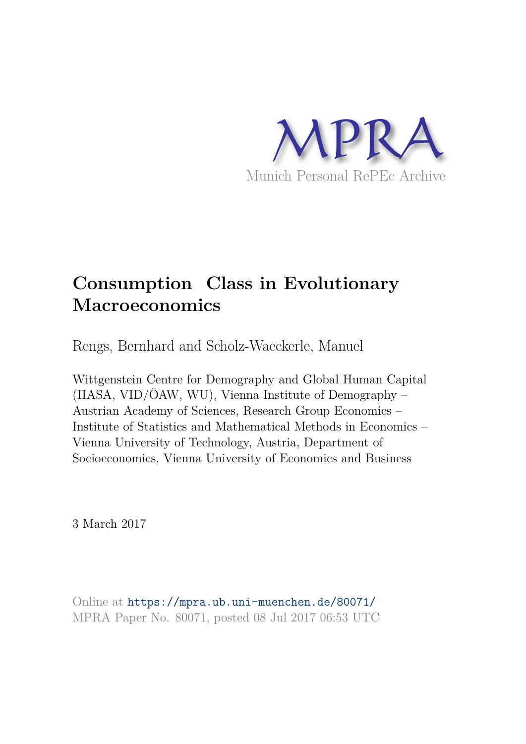

# **Consumption Class in Evolutionary Macroeconomics**

Rengs, Bernhard and Scholz-Waeckerle, Manuel

Wittgenstein Centre for Demography and Global Human Capital (IIASA, VID/ÖAW, WU), Vienna Institute of Demography – Austrian Academy of Sciences, Research Group Economics – Institute of Statistics and Mathematical Methods in Economics – Vienna University of Technology, Austria, Department of Socioeconomics, Vienna University of Economics and Business

3 March 2017

Online at https://mpra.ub.uni-muenchen.de/80071/ MPRA Paper No. 80071, posted 08 Jul 2017 06:53 UTC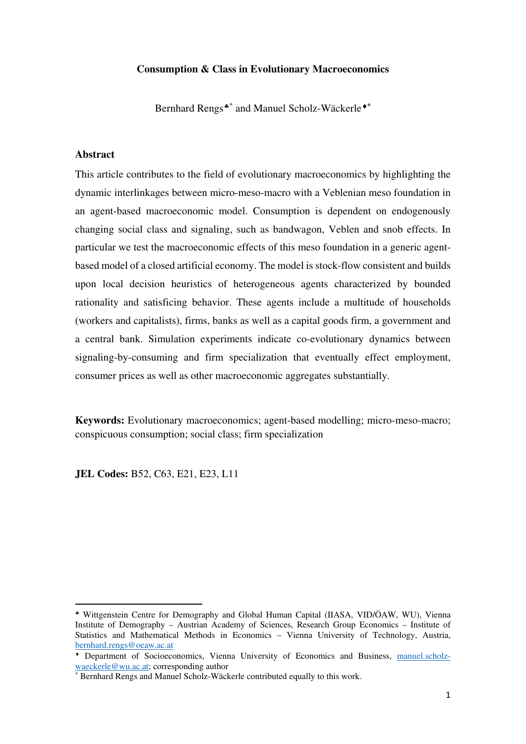#### **Consumption & Class in Evolutionary Macroeconomics**

Bernhard Rengs[♣](#page-1-0)\* and Manuel Scholz-Wäckerle[♦](#page-1-1)**\***

#### **Abstract**

This article contributes to the field of evolutionary macroeconomics by highlighting the dynamic interlinkages between micro-meso-macro with a Veblenian meso foundation in an agent-based macroeconomic model. Consumption is dependent on endogenously changing social class and signaling, such as bandwagon, Veblen and snob effects. In particular we test the macroeconomic effects of this meso foundation in a generic agentbased model of a closed artificial economy. The model is stock-flow consistent and builds upon local decision heuristics of heterogeneous agents characterized by bounded rationality and satisficing behavior. These agents include a multitude of households (workers and capitalists), firms, banks as well as a capital goods firm, a government and a central bank. Simulation experiments indicate co-evolutionary dynamics between signaling-by-consuming and firm specialization that eventually effect employment, consumer prices as well as other macroeconomic aggregates substantially.

**Keywords:** Evolutionary macroeconomics; agent-based modelling; micro-meso-macro; conspicuous consumption; social class; firm specialization

**JEL Codes: B52, C63, E21, E23, L11** 

-

<span id="page-1-0"></span><sup>♣</sup> Wittgenstein Centre for Demography and Global Human Capital (IIASA, VID/ÖAW, WU), Vienna Institute of Demography – Austrian Academy of Sciences, Research Group Economics – Institute of Statistics and Mathematical Methods in Economics – Vienna University of Technology, Austria, bernhard.rengs@oeaw.ac.at

<span id="page-1-1"></span><sup>♦</sup> Department of Socioeconomics, Vienna University of Economics and Business, manuel.scholzwaeckerle@wu.ac.at; corresponding author

<sup>\*</sup> Bernhard Rengs and Manuel Scholz-Wäckerle contributed equally to this work.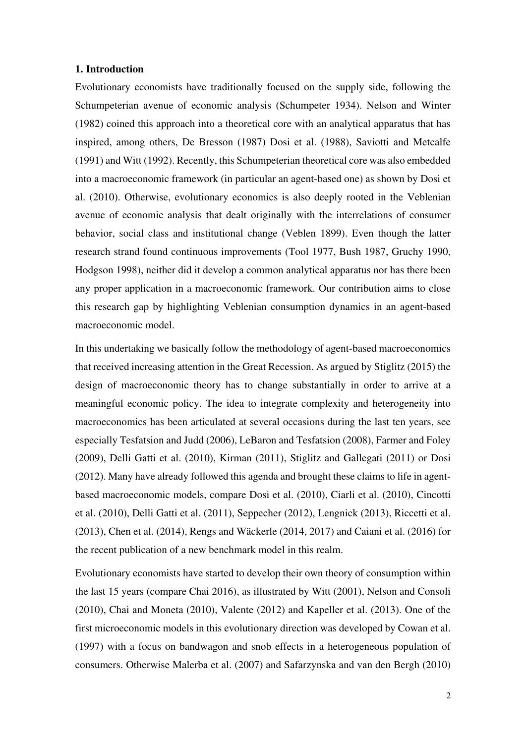#### **1. Introduction**

Evolutionary economists have traditionally focused on the supply side, following the Schumpeterian avenue of economic analysis (Schumpeter 1934). Nelson and Winter (1982) coined this approach into a theoretical core with an analytical apparatus that has inspired, among others, De Bresson (1987) Dosi et al. (1988), Saviotti and Metcalfe (1991) and Witt (1992). Recently, this Schumpeterian theoretical core was also embedded into a macroeconomic framework (in particular an agent-based one) as shown by Dosi et al. (2010). Otherwise, evolutionary economics is also deeply rooted in the Veblenian avenue of economic analysis that dealt originally with the interrelations of consumer behavior, social class and institutional change (Veblen 1899). Even though the latter research strand found continuous improvements (Tool 1977, Bush 1987, Gruchy 1990, Hodgson 1998), neither did it develop a common analytical apparatus nor has there been any proper application in a macroeconomic framework. Our contribution aims to close this research gap by highlighting Veblenian consumption dynamics in an agent-based macroeconomic model.

In this undertaking we basically follow the methodology of agent-based macroeconomics that received increasing attention in the Great Recession. As argued by Stiglitz (2015) the design of macroeconomic theory has to change substantially in order to arrive at a meaningful economic policy. The idea to integrate complexity and heterogeneity into macroeconomics has been articulated at several occasions during the last ten years, see especially Tesfatsion and Judd (2006), LeBaron and Tesfatsion (2008), Farmer and Foley (2009), Delli Gatti et al. (2010), Kirman (2011), Stiglitz and Gallegati (2011) or Dosi (2012). Many have already followed this agenda and brought these claims to life in agentbased macroeconomic models, compare Dosi et al. (2010), Ciarli et al. (2010), Cincotti et al. (2010), Delli Gatti et al. (2011), Seppecher (2012), Lengnick (2013), Riccetti et al. (2013), Chen et al. (2014), Rengs and Wäckerle (2014, 2017) and Caiani et al. (2016) for the recent publication of a new benchmark model in this realm.

Evolutionary economists have started to develop their own theory of consumption within the last 15 years (compare Chai 2016), as illustrated by Witt (2001), Nelson and Consoli (2010), Chai and Moneta (2010), Valente (2012) and Kapeller et al. (2013). One of the first microeconomic models in this evolutionary direction was developed by Cowan et al. (1997) with a focus on bandwagon and snob effects in a heterogeneous population of consumers. Otherwise Malerba et al. (2007) and Safarzynska and van den Bergh (2010)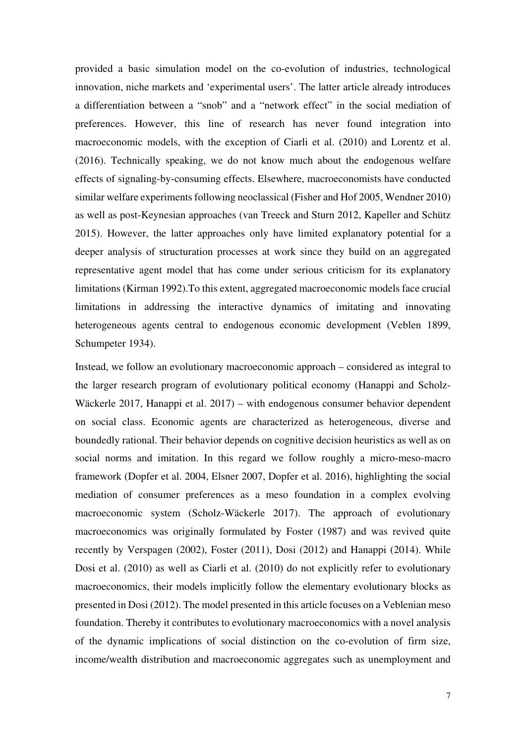provided a basic simulation model on the co-evolution of industries, technological innovation, niche markets and 'experimental users'. The latter article already introduces a differentiation between a "snob" and a "network effect" in the social mediation of preferences. However, this line of research has never found integration into macroeconomic models, with the exception of Ciarli et al. (2010) and Lorentz et al. (2016). Technically speaking, we do not know much about the endogenous welfare effects of signaling-by-consuming effects. Elsewhere, macroeconomists have conducted similar welfare experiments following neoclassical (Fisher and Hof 2005, Wendner 2010) as well as post-Keynesian approaches (van Treeck and Sturn 2012, Kapeller and Schütz 2015). However, the latter approaches only have limited explanatory potential for a deeper analysis of structuration processes at work since they build on an aggregated representative agent model that has come under serious criticism for its explanatory limitations (Kirman 1992).To this extent, aggregated macroeconomic models face crucial limitations in addressing the interactive dynamics of imitating and innovating heterogeneous agents central to endogenous economic development (Veblen 1899, Schumpeter 1934).

Instead, we follow an evolutionary macroeconomic approach – considered as integral to the larger research program of evolutionary political economy (Hanappi and Scholz-Wäckerle 2017, Hanappi et al. 2017) – with endogenous consumer behavior dependent on social class. Economic agents are characterized as heterogeneous, diverse and boundedly rational. Their behavior depends on cognitive decision heuristics as well as on social norms and imitation. In this regard we follow roughly a micro-meso-macro framework (Dopfer et al. 2004, Elsner 2007, Dopfer et al. 2016), highlighting the social mediation of consumer preferences as a meso foundation in a complex evolving macroeconomic system (Scholz-Wäckerle 2017). The approach of evolutionary macroeconomics was originally formulated by Foster (1987) and was revived quite recently by Verspagen (2002), Foster (2011), Dosi (2012) and Hanappi (2014). While Dosi et al. (2010) as well as Ciarli et al. (2010) do not explicitly refer to evolutionary macroeconomics, their models implicitly follow the elementary evolutionary blocks as presented in Dosi (2012). The model presented in this article focuses on a Veblenian meso foundation. Thereby it contributes to evolutionary macroeconomics with a novel analysis of the dynamic implications of social distinction on the co-evolution of firm size, income/wealth distribution and macroeconomic aggregates such as unemployment and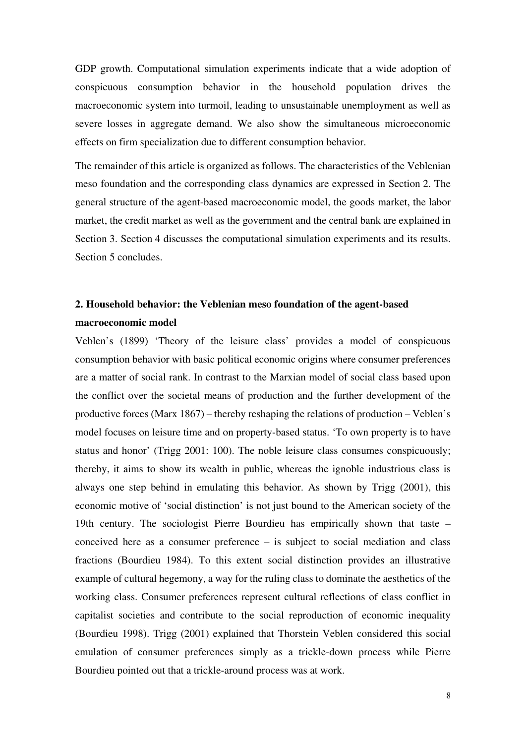GDP growth. Computational simulation experiments indicate that a wide adoption of conspicuous consumption behavior in the household population drives the macroeconomic system into turmoil, leading to unsustainable unemployment as well as severe losses in aggregate demand. We also show the simultaneous microeconomic effects on firm specialization due to different consumption behavior.

The remainder of this article is organized as follows. The characteristics of the Veblenian meso foundation and the corresponding class dynamics are expressed in Section 2. The general structure of the agent-based macroeconomic model, the goods market, the labor market, the credit market as well as the government and the central bank are explained in Section 3. Section 4 discusses the computational simulation experiments and its results. Section 5 concludes.

# **2. Household behavior: the Veblenian meso foundation of the agent-based macroeconomic model**

Veblen's (1899) 'Theory of the leisure class' provides a model of conspicuous consumption behavior with basic political economic origins where consumer preferences are a matter of social rank. In contrast to the Marxian model of social class based upon the conflict over the societal means of production and the further development of the productive forces (Marx 1867) – thereby reshaping the relations of production – Veblen's model focuses on leisure time and on property-based status. 'To own property is to have status and honor' (Trigg 2001: 100). The noble leisure class consumes conspicuously; thereby, it aims to show its wealth in public, whereas the ignoble industrious class is always one step behind in emulating this behavior. As shown by Trigg (2001), this economic motive of 'social distinction' is not just bound to the American society of the 19th century. The sociologist Pierre Bourdieu has empirically shown that taste – conceived here as a consumer preference – is subject to social mediation and class fractions (Bourdieu 1984). To this extent social distinction provides an illustrative example of cultural hegemony, a way for the ruling class to dominate the aesthetics of the working class. Consumer preferences represent cultural reflections of class conflict in capitalist societies and contribute to the social reproduction of economic inequality (Bourdieu 1998). Trigg (2001) explained that Thorstein Veblen considered this social emulation of consumer preferences simply as a trickle-down process while Pierre Bourdieu pointed out that a trickle-around process was at work.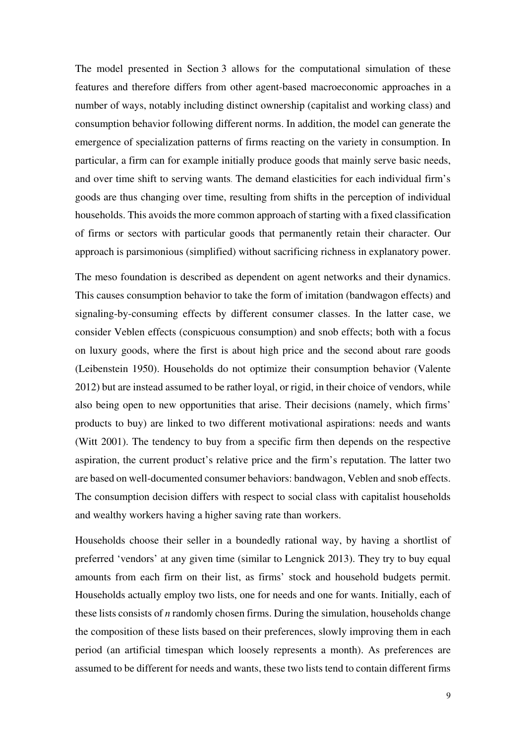The model presented in Section 3 allows for the computational simulation of these features and therefore differs from other agent-based macroeconomic approaches in a number of ways, notably including distinct ownership (capitalist and working class) and consumption behavior following different norms. In addition, the model can generate the emergence of specialization patterns of firms reacting on the variety in consumption. In particular, a firm can for example initially produce goods that mainly serve basic needs, and over time shift to serving wants. The demand elasticities for each individual firm's goods are thus changing over time, resulting from shifts in the perception of individual households. This avoids the more common approach of starting with a fixed classification of firms or sectors with particular goods that permanently retain their character. Our approach is parsimonious (simplified) without sacrificing richness in explanatory power.

The meso foundation is described as dependent on agent networks and their dynamics. This causes consumption behavior to take the form of imitation (bandwagon effects) and signaling-by-consuming effects by different consumer classes. In the latter case, we consider Veblen effects (conspicuous consumption) and snob effects; both with a focus on luxury goods, where the first is about high price and the second about rare goods (Leibenstein 1950). Households do not optimize their consumption behavior (Valente 2012) but are instead assumed to be rather loyal, or rigid, in their choice of vendors, while also being open to new opportunities that arise. Their decisions (namely, which firms' products to buy) are linked to two different motivational aspirations: needs and wants (Witt 2001). The tendency to buy from a specific firm then depends on the respective aspiration, the current product's relative price and the firm's reputation. The latter two are based on well-documented consumer behaviors: bandwagon, Veblen and snob effects. The consumption decision differs with respect to social class with capitalist households and wealthy workers having a higher saving rate than workers.

Households choose their seller in a boundedly rational way, by having a shortlist of preferred 'vendors' at any given time (similar to Lengnick 2013). They try to buy equal amounts from each firm on their list, as firms' stock and household budgets permit. Households actually employ two lists, one for needs and one for wants. Initially, each of these lists consists of *n* randomly chosen firms. During the simulation, households change the composition of these lists based on their preferences, slowly improving them in each period (an artificial timespan which loosely represents a month). As preferences are assumed to be different for needs and wants, these two lists tend to contain different firms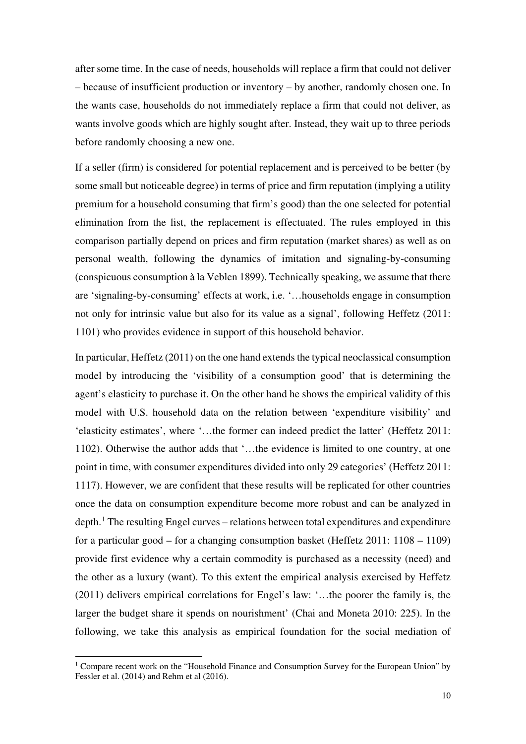after some time. In the case of needs, households will replace a firm that could not deliver – because of insufficient production or inventory – by another, randomly chosen one. In the wants case, households do not immediately replace a firm that could not deliver, as wants involve goods which are highly sought after. Instead, they wait up to three periods before randomly choosing a new one.

If a seller (firm) is considered for potential replacement and is perceived to be better (by some small but noticeable degree) in terms of price and firm reputation (implying a utility premium for a household consuming that firm's good) than the one selected for potential elimination from the list, the replacement is effectuated. The rules employed in this comparison partially depend on prices and firm reputation (market shares) as well as on personal wealth, following the dynamics of imitation and signaling-by-consuming (conspicuous consumption à la Veblen 1899). Technically speaking, we assume that there are 'signaling-by-consuming' effects at work, i.e. '…households engage in consumption not only for intrinsic value but also for its value as a signal', following Heffetz (2011: 1101) who provides evidence in support of this household behavior.

In particular, Heffetz (2011) on the one hand extends the typical neoclassical consumption model by introducing the 'visibility of a consumption good' that is determining the agent's elasticity to purchase it. On the other hand he shows the empirical validity of this model with U.S. household data on the relation between 'expenditure visibility' and 'elasticity estimates', where '…the former can indeed predict the latter' (Heffetz 2011: 1102). Otherwise the author adds that '…the evidence is limited to one country, at one point in time, with consumer expenditures divided into only 29 categories' (Heffetz 2011: 1117). However, we are confident that these results will be replicated for other countries once the data on consumption expenditure become more robust and can be analyzed in depth.<sup>[1](#page-6-0)</sup> The resulting Engel curves – relations between total expenditures and expenditure for a particular good – for a changing consumption basket (Heffetz 2011: 1108 – 1109) provide first evidence why a certain commodity is purchased as a necessity (need) and the other as a luxury (want). To this extent the empirical analysis exercised by Heffetz (2011) delivers empirical correlations for Engel's law: '…the poorer the family is, the larger the budget share it spends on nourishment' (Chai and Moneta 2010: 225). In the following, we take this analysis as empirical foundation for the social mediation of

<u>.</u>

<span id="page-6-0"></span><sup>&</sup>lt;sup>1</sup> Compare recent work on the "Household Finance and Consumption Survey for the European Union" by Fessler et al. (2014) and Rehm et al (2016).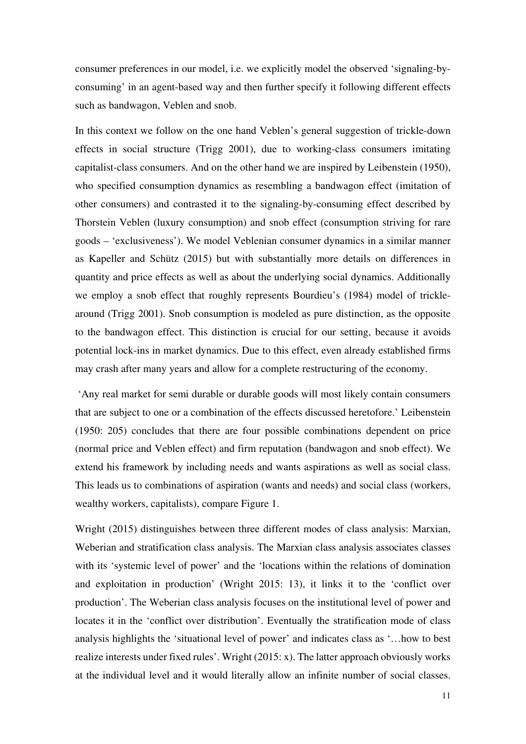consumer preferences in our model, i.e. we explicitly model the observed 'signaling-byconsuming' in an agent-based way and then further specify it following different effects such as bandwagon, Veblen and snob.

In this context we follow on the one hand Veblen's general suggestion of trickle-down effects in social structure (Trigg 2001), due to working-class consumers imitating capitalist-class consumers. And on the other hand we are inspired by Leibenstein (1950), who specified consumption dynamics as resembling a bandwagon effect (imitation of other consumers) and contrasted it to the signaling-by-consuming effect described by Thorstein Veblen (luxury consumption) and snob effect (consumption striving for rare goods – 'exclusiveness'). We model Veblenian consumer dynamics in a similar manner as Kapeller and Schütz (2015) but with substantially more details on differences in quantity and price effects as well as about the underlying social dynamics. Additionally we employ a snob effect that roughly represents Bourdieu's (1984) model of tricklearound (Trigg 2001). Snob consumption is modeled as pure distinction, as the opposite to the bandwagon effect. This distinction is crucial for our setting, because it avoids potential lock-ins in market dynamics. Due to this effect, even already established firms may crash after many years and allow for a complete restructuring of the economy.

 'Any real market for semi durable or durable goods will most likely contain consumers that are subject to one or a combination of the effects discussed heretofore.' Leibenstein (1950: 205) concludes that there are four possible combinations dependent on price (normal price and Veblen effect) and firm reputation (bandwagon and snob effect). We extend his framework by including needs and wants aspirations as well as social class. This leads us to combinations of aspiration (wants and needs) and social class (workers, wealthy workers, capitalists), compare Figure 1.

Wright (2015) distinguishes between three different modes of class analysis: Marxian, Weberian and stratification class analysis. The Marxian class analysis associates classes with its 'systemic level of power' and the 'locations within the relations of domination and exploitation in production' (Wright 2015: 13), it links it to the 'conflict over production'. The Weberian class analysis focuses on the institutional level of power and locates it in the 'conflict over distribution'. Eventually the stratification mode of class analysis highlights the 'situational level of power' and indicates class as '…how to best realize interests under fixed rules'. Wright (2015: x). The latter approach obviously works at the individual level and it would literally allow an infinite number of social classes.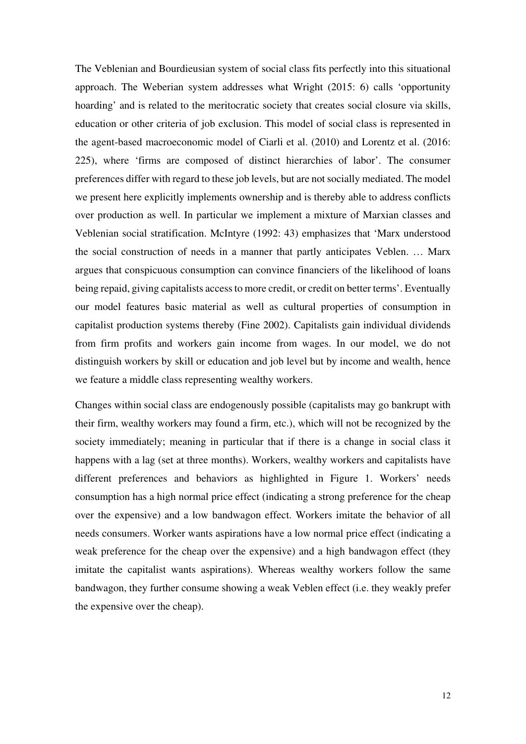The Veblenian and Bourdieusian system of social class fits perfectly into this situational approach. The Weberian system addresses what Wright (2015: 6) calls 'opportunity hoarding' and is related to the meritocratic society that creates social closure via skills, education or other criteria of job exclusion. This model of social class is represented in the agent-based macroeconomic model of Ciarli et al. (2010) and Lorentz et al. (2016: 225), where 'firms are composed of distinct hierarchies of labor'. The consumer preferences differ with regard to these job levels, but are not socially mediated. The model we present here explicitly implements ownership and is thereby able to address conflicts over production as well. In particular we implement a mixture of Marxian classes and Veblenian social stratification. McIntyre (1992: 43) emphasizes that 'Marx understood the social construction of needs in a manner that partly anticipates Veblen. … Marx argues that conspicuous consumption can convince financiers of the likelihood of loans being repaid, giving capitalists access to more credit, or credit on better terms'. Eventually our model features basic material as well as cultural properties of consumption in capitalist production systems thereby (Fine 2002). Capitalists gain individual dividends from firm profits and workers gain income from wages. In our model, we do not distinguish workers by skill or education and job level but by income and wealth, hence we feature a middle class representing wealthy workers.

Changes within social class are endogenously possible (capitalists may go bankrupt with their firm, wealthy workers may found a firm, etc.), which will not be recognized by the society immediately; meaning in particular that if there is a change in social class it happens with a lag (set at three months). Workers, wealthy workers and capitalists have different preferences and behaviors as highlighted in Figure 1. Workers' needs consumption has a high normal price effect (indicating a strong preference for the cheap over the expensive) and a low bandwagon effect. Workers imitate the behavior of all needs consumers. Worker wants aspirations have a low normal price effect (indicating a weak preference for the cheap over the expensive) and a high bandwagon effect (they imitate the capitalist wants aspirations). Whereas wealthy workers follow the same bandwagon, they further consume showing a weak Veblen effect (i.e. they weakly prefer the expensive over the cheap).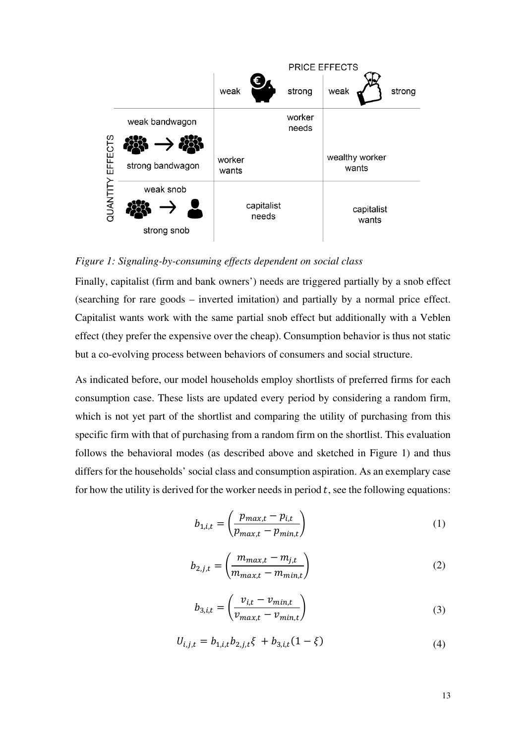

*Figure 1: Signaling-by-consuming effects dependent on social class*

Finally, capitalist (firm and bank owners') needs are triggered partially by a snob effect (searching for rare goods – inverted imitation) and partially by a normal price effect. Capitalist wants work with the same partial snob effect but additionally with a Veblen effect (they prefer the expensive over the cheap). Consumption behavior is thus not static but a co-evolving process between behaviors of consumers and social structure.

As indicated before, our model households employ shortlists of preferred firms for each consumption case. These lists are updated every period by considering a random firm, which is not yet part of the shortlist and comparing the utility of purchasing from this specific firm with that of purchasing from a random firm on the shortlist. This evaluation follows the behavioral modes (as described above and sketched in Figure 1) and thus differs for the households' social class and consumption aspiration. As an exemplary case for how the utility is derived for the worker needs in period  $t$ , see the following equations:

$$
b_{1,i,t} = \left(\frac{p_{max,t} - p_{i,t}}{p_{max,t} - p_{min,t}}\right)
$$
 (1)

$$
b_{2,j,t} = \left(\frac{m_{max,t} - m_{j,t}}{m_{max,t} - m_{min,t}}\right)
$$
 (2)

$$
b_{3,i,t} = \left(\frac{v_{i,t} - v_{min,t}}{v_{max,t} - v_{min,t}}\right)
$$
\n(3)

$$
U_{i,j,t} = b_{1,i,t} b_{2,j,t} \xi + b_{3,i,t} (1 - \xi)
$$
\n(4)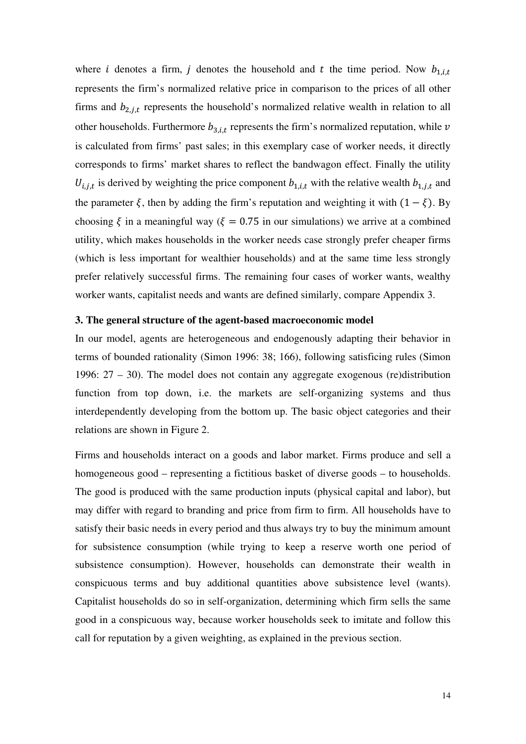where *i* denotes a firm, *j* denotes the household and *t* the time period. Now  $b_{1,i,t}$ represents the firm's normalized relative price in comparison to the prices of all other firms and  $b_{2,j,t}$  represents the household's normalized relative wealth in relation to all other households. Furthermore  $b_{3,i,t}$  represents the firm's normalized reputation, while v is calculated from firms' past sales; in this exemplary case of worker needs, it directly corresponds to firms' market shares to reflect the bandwagon effect. Finally the utility  $U_{i,j,t}$  is derived by weighting the price component  $b_{1,i,t}$  with the relative wealth  $b_{1,j,t}$  and the parameter  $\xi$ , then by adding the firm's reputation and weighting it with  $(1 - \xi)$ . By choosing  $\xi$  in a meaningful way ( $\xi = 0.75$  in our simulations) we arrive at a combined utility, which makes households in the worker needs case strongly prefer cheaper firms (which is less important for wealthier households) and at the same time less strongly prefer relatively successful firms. The remaining four cases of worker wants, wealthy worker wants, capitalist needs and wants are defined similarly, compare Appendix 3.

### **3. The general structure of the agent-based macroeconomic model**

In our model, agents are heterogeneous and endogenously adapting their behavior in terms of bounded rationality (Simon 1996: 38; 166), following satisficing rules (Simon 1996: 27 – 30). The model does not contain any aggregate exogenous (re)distribution function from top down, i.e. the markets are self-organizing systems and thus interdependently developing from the bottom up. The basic object categories and their relations are shown in Figure 2.

Firms and households interact on a goods and labor market. Firms produce and sell a homogeneous good – representing a fictitious basket of diverse goods – to households. The good is produced with the same production inputs (physical capital and labor), but may differ with regard to branding and price from firm to firm. All households have to satisfy their basic needs in every period and thus always try to buy the minimum amount for subsistence consumption (while trying to keep a reserve worth one period of subsistence consumption). However, households can demonstrate their wealth in conspicuous terms and buy additional quantities above subsistence level (wants). Capitalist households do so in self-organization, determining which firm sells the same good in a conspicuous way, because worker households seek to imitate and follow this call for reputation by a given weighting, as explained in the previous section.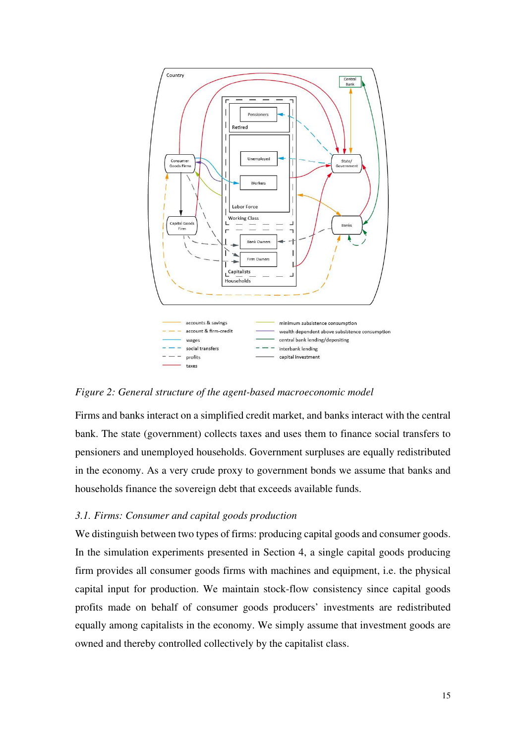

*Figure 2: General structure of the agent-based macroeconomic model* 

Firms and banks interact on a simplified credit market, and banks interact with the central bank. The state (government) collects taxes and uses them to finance social transfers to pensioners and unemployed households. Government surpluses are equally redistributed in the economy. As a very crude proxy to government bonds we assume that banks and households finance the sovereign debt that exceeds available funds.

### *3.1. Firms: Consumer and capital goods production*

We distinguish between two types of firms: producing capital goods and consumer goods. In the simulation experiments presented in Section 4, a single capital goods producing firm provides all consumer goods firms with machines and equipment, i.e. the physical capital input for production. We maintain stock-flow consistency since capital goods profits made on behalf of consumer goods producers' investments are redistributed equally among capitalists in the economy. We simply assume that investment goods are owned and thereby controlled collectively by the capitalist class.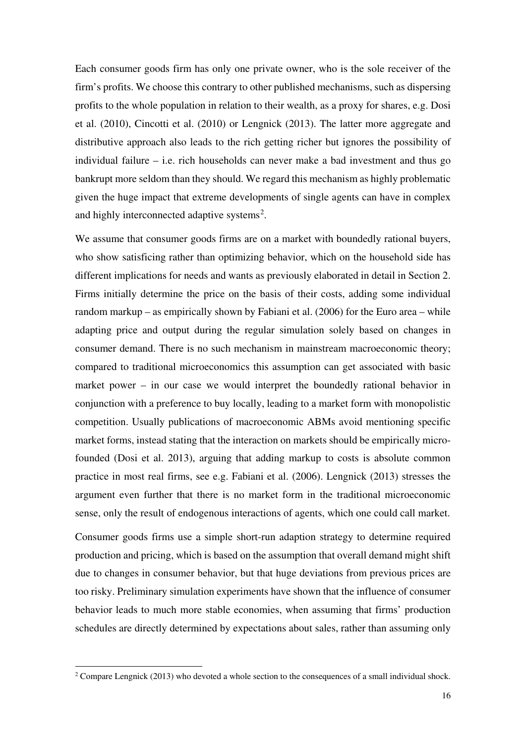Each consumer goods firm has only one private owner, who is the sole receiver of the firm's profits. We choose this contrary to other published mechanisms, such as dispersing profits to the whole population in relation to their wealth, as a proxy for shares, e.g. Dosi et al. (2010), Cincotti et al. (2010) or Lengnick (2013). The latter more aggregate and distributive approach also leads to the rich getting richer but ignores the possibility of individual failure – i.e. rich households can never make a bad investment and thus go bankrupt more seldom than they should. We regard this mechanism as highly problematic given the huge impact that extreme developments of single agents can have in complex and highly interconnected adaptive systems<sup>[2](#page-12-0)</sup>.

We assume that consumer goods firms are on a market with boundedly rational buyers, who show satisficing rather than optimizing behavior, which on the household side has different implications for needs and wants as previously elaborated in detail in Section 2. Firms initially determine the price on the basis of their costs, adding some individual random markup – as empirically shown by Fabiani et al. (2006) for the Euro area – while adapting price and output during the regular simulation solely based on changes in consumer demand. There is no such mechanism in mainstream macroeconomic theory; compared to traditional microeconomics this assumption can get associated with basic market power – in our case we would interpret the boundedly rational behavior in conjunction with a preference to buy locally, leading to a market form with monopolistic competition. Usually publications of macroeconomic ABMs avoid mentioning specific market forms, instead stating that the interaction on markets should be empirically microfounded (Dosi et al. 2013), arguing that adding markup to costs is absolute common practice in most real firms, see e.g. Fabiani et al. (2006). Lengnick (2013) stresses the argument even further that there is no market form in the traditional microeconomic sense, only the result of endogenous interactions of agents, which one could call market.

Consumer goods firms use a simple short-run adaption strategy to determine required production and pricing, which is based on the assumption that overall demand might shift due to changes in consumer behavior, but that huge deviations from previous prices are too risky. Preliminary simulation experiments have shown that the influence of consumer behavior leads to much more stable economies, when assuming that firms' production schedules are directly determined by expectations about sales, rather than assuming only

-

<span id="page-12-0"></span> $2$  Compare Lengnick (2013) who devoted a whole section to the consequences of a small individual shock.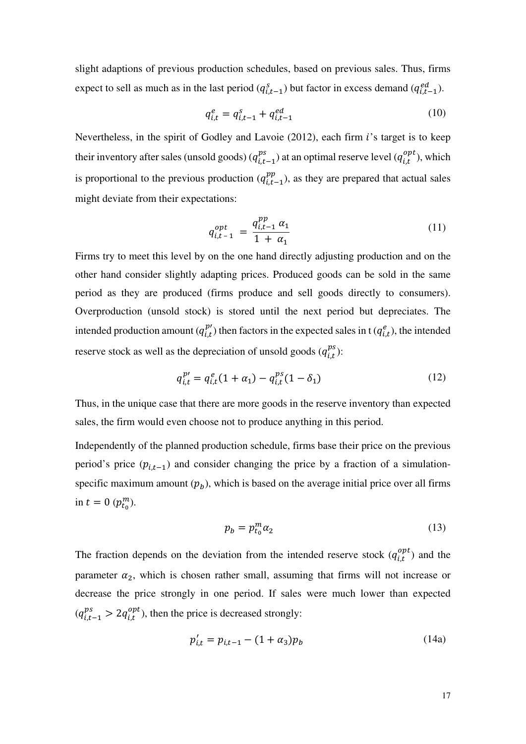slight adaptions of previous production schedules, based on previous sales. Thus, firms expect to sell as much as in the last period  $(q_{i,t-1}^s)$  but factor in excess demand  $(q_{i,t-1}^{ed})$ .

$$
q_{i,t}^e = q_{i,t-1}^s + q_{i,t-1}^{ed} \tag{10}
$$

Nevertheless, in the spirit of Godley and Lavoie  $(2012)$ , each firm  $i$ 's target is to keep their inventory after sales (unsold goods)  $(q_{i,t-1}^{ps})$  at an optimal reserve level  $(q_{i,t}^{opt})$ , which is proportional to the previous production  $(q_{i,t-1}^{pp})$ , as they are prepared that actual sales might deviate from their expectations:

$$
q_{i,t-1}^{opt} = \frac{q_{i,t-1}^{pp} \alpha_1}{1 + \alpha_1} \tag{11}
$$

Firms try to meet this level by on the one hand directly adjusting production and on the other hand consider slightly adapting prices. Produced goods can be sold in the same period as they are produced (firms produce and sell goods directly to consumers). Overproduction (unsold stock) is stored until the next period but depreciates. The intended production amount  $(q_{i,t}^{p})$  then factors in the expected sales in t  $(q_{i,t}^e)$ , the intended reserve stock as well as the depreciation of unsold goods  $(q_{i,t}^{ps})$ :

$$
q_{i,t}^{p'} = q_{i,t}^{e}(1 + \alpha_1) - q_{i,t}^{ps}(1 - \delta_1)
$$
 (12)

Thus, in the unique case that there are more goods in the reserve inventory than expected sales, the firm would even choose not to produce anything in this period.

Independently of the planned production schedule, firms base their price on the previous period's price ( $p_{i,t-1}$ ) and consider changing the price by a fraction of a simulationspecific maximum amount  $(p_b)$ , which is based on the average initial price over all firms in  $t = 0$  ( $p_{t_0}^m$ ).

$$
p_b = p_{t_0}^m \alpha_2 \tag{13}
$$

The fraction depends on the deviation from the intended reserve stock  $(q_{i,t}^{opt})$  and the parameter  $\alpha_2$ , which is chosen rather small, assuming that firms will not increase or decrease the price strongly in one period. If sales were much lower than expected  $(q_{i,t-1}^{ps} > 2q_{i,t}^{opt})$ , then the price is decreased strongly:

$$
p'_{i,t} = p_{i,t-1} - (1 + \alpha_3)p_b \tag{14a}
$$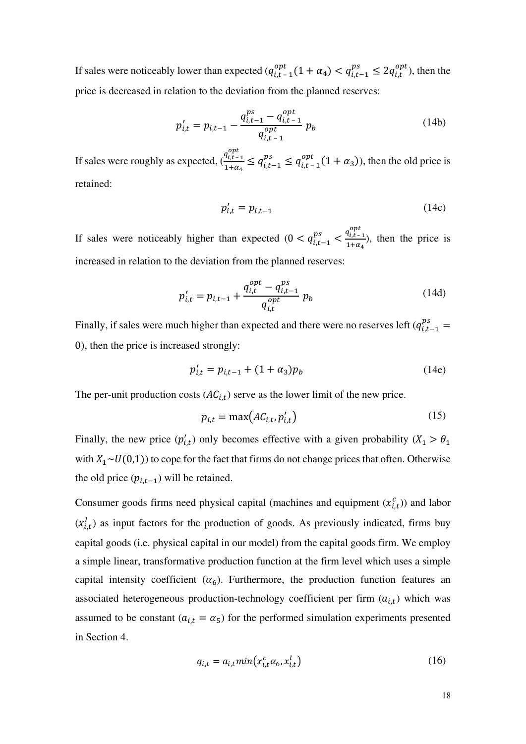If sales were noticeably lower than expected  $(q_{i,t-1}^{opt}(1 + \alpha_4)) < q_{i,t-1}^{ps} \le 2q_{i,t}^{opt}$ , then the price is decreased in relation to the deviation from the planned reserves:

$$
p'_{i,t} = p_{i,t-1} - \frac{q_{i,t-1}^{ps} - q_{i,t-1}^{opt}}{q_{i,t-1}^{opt}} p_b
$$
 (14b)

If sales were roughly as expected,  $\left(\frac{q_{i,t-1}^{opt}}{1+r}\right)$  $q_{i,t-1}^{u_{i,t-1}} \leq q_{i,t-1}^{opt}(1+\alpha_3)$ , then the old price is retained:

$$
p'_{i,t} = p_{i,t-1} \tag{14c}
$$

If sales were noticeably higher than expected (0 <  $q_{i,t-1}^{ps} < \frac{q_{i,t-1}^{opt}}{1 + \alpha_4}$  $1+\alpha_4$ ), then the price is increased in relation to the deviation from the planned reserves:

$$
p'_{i,t} = p_{i,t-1} + \frac{q_{i,t}^{opt} - q_{i,t-1}^{ps}}{q_{i,t}^{opt}} p_b
$$
 (14d)

Finally, if sales were much higher than expected and there were no reserves left  $(q_{i,t-1}^{ps} =$ 0), then the price is increased strongly:

$$
p'_{i,t} = p_{i,t-1} + (1 + \alpha_3)p_b \tag{14e}
$$

The per-unit production costs  $(AC_{i,t})$  serve as the lower limit of the new price.

$$
p_{i,t} = \max(AC_{i,t}, p'_{i,t})
$$
\n(15)

Finally, the new price  $(p'_{i,t})$  only becomes effective with a given probability  $(X_1 > \theta_1)$ with  $X_1 \sim U(0,1)$ ) to cope for the fact that firms do not change prices that often. Otherwise the old price  $(p_{i,t-1})$  will be retained.

Consumer goods firms need physical capital (machines and equipment  $(x_{i,t}^c)$ ) and labor  $(x_{i,t}^l)$  as input factors for the production of goods. As previously indicated, firms buy capital goods (i.e. physical capital in our model) from the capital goods firm. We employ a simple linear, transformative production function at the firm level which uses a simple capital intensity coefficient  $(\alpha_6)$ . Furthermore, the production function features an associated heterogeneous production-technology coefficient per firm  $(a_{i,t})$  which was assumed to be constant ( $a_{i,t} = \alpha_5$ ) for the performed simulation experiments presented in Section 4.

$$
q_{i,t} = a_{i,t} \min\left(x_{i,t}^c \alpha_6, x_{i,t}^l\right) \tag{16}
$$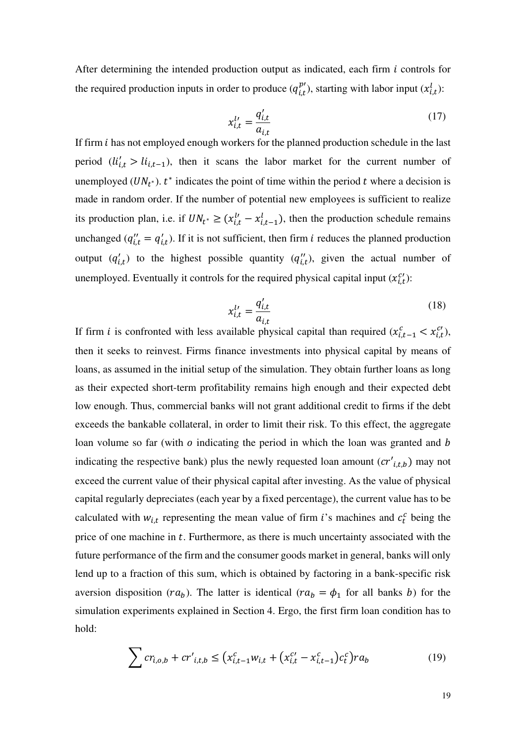After determining the intended production output as indicated, each firm  $i$  controls for the required production inputs in order to produce  $(q_{i,t}^{p})$ , starting with labor input  $(x_{i,t}^l)$ :

$$
x_{i,t}^{l'} = \frac{q_{i,t}'}{a_{i,t}} \tag{17}
$$

If firm  $i$  has not employed enough workers for the planned production schedule in the last period  $(l_i'_{i,t} > l_i_{i,t-1})$ , then it scans the labor market for the current number of unemployed ( $UN_t^*$ ).  $t^*$  indicates the point of time within the period  $t$  where a decision is made in random order. If the number of potential new employees is sufficient to realize its production plan, i.e. if  $UN_{t^*} \ge (x_{i,t}^{\prime\prime} - x_{i,t-1}^{\prime})$ , then the production schedule remains unchanged  $(q''_{i,t} = q'_{i,t})$ . If it is not sufficient, then firm *i* reduces the planned production output  $(q'_{i,t})$  to the highest possible quantity  $(q''_{i,t})$ , given the actual number of unemployed. Eventually it controls for the required physical capital input  $(x_{i,t}^{c})$ :

$$
x_{i,t}^{l'} = \frac{q_{i,t}'}{a_{i,t}} \tag{18}
$$

If firm *i* is confronted with less available physical capital than required  $(x_{i,t-1}^c < x_{i,t}^{c'}),$ then it seeks to reinvest. Firms finance investments into physical capital by means of loans, as assumed in the initial setup of the simulation. They obtain further loans as long as their expected short-term profitability remains high enough and their expected debt low enough. Thus, commercial banks will not grant additional credit to firms if the debt exceeds the bankable collateral, in order to limit their risk. To this effect, the aggregate loan volume so far (with  $o$  indicating the period in which the loan was granted and  $b$ indicating the respective bank) plus the newly requested loan amount  $({cr'}_{i,t,b})$  may not exceed the current value of their physical capital after investing. As the value of physical capital regularly depreciates (each year by a fixed percentage), the current value has to be calculated with  $w_{i,t}$  representing the mean value of firm *i*'s machines and  $c_t^c$  being the price of one machine in  $t$ . Furthermore, as there is much uncertainty associated with the future performance of the firm and the consumer goods market in general, banks will only lend up to a fraction of this sum, which is obtained by factoring in a bank-specific risk aversion disposition ( $ra_b$ ). The latter is identical ( $ra_b = \phi_1$  for all banks b) for the simulation experiments explained in Section 4. Ergo, the first firm loan condition has to hold:

$$
\sum cr_{i,o,b} + cr'_{i,t,b} \le (x_{i,t-1}^c w_{i,t} + (x_{i,t}^{c'} - x_{i,t-1}^c)c_t^c)ra_b
$$
\n(19)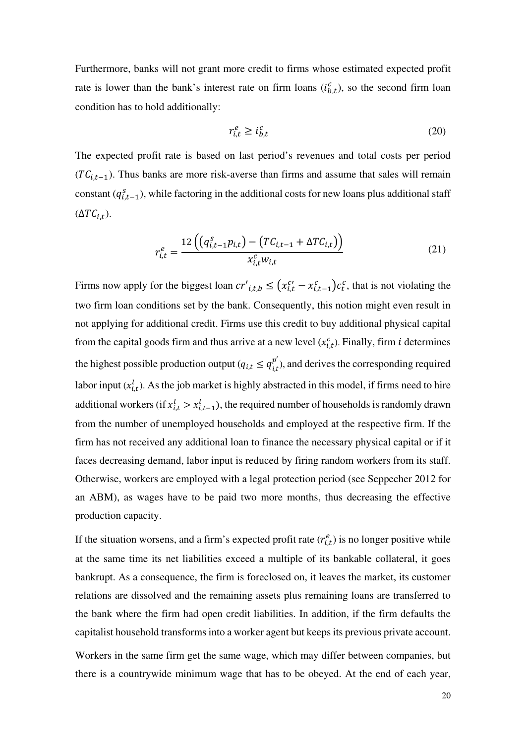Furthermore, banks will not grant more credit to firms whose estimated expected profit rate is lower than the bank's interest rate on firm loans  $(i_{b,t}^c)$ , so the second firm loan condition has to hold additionally:

$$
r_{i,t}^e \ge i_{b,t}^c \tag{20}
$$

The expected profit rate is based on last period's revenues and total costs per period  $(TC_{i,t-1})$ . Thus banks are more risk-averse than firms and assume that sales will remain constant  $(q_{i,t-1}^s)$ , while factoring in the additional costs for new loans plus additional staff  $(\Delta T C_{i,t}).$ 

$$
r_{i,t}^e = \frac{12\left((q_{i,t-1}^s p_{i,t}) - (TC_{i,t-1} + \Delta TC_{i,t})\right)}{x_{i,t}^c w_{i,t}}
$$
(21)

Firms now apply for the biggest loan  $cr'_{i,t,b} \leq (x_{i,t}^{c'} - x_{i,t-1}^{c})c_t^c$ , that is not violating the two firm loan conditions set by the bank. Consequently, this notion might even result in not applying for additional credit. Firms use this credit to buy additional physical capital from the capital goods firm and thus arrive at a new level  $(x_{i,t}^c)$ . Finally, firm *i* determines the highest possible production output ( $q_{i,t} \leq q_{i,t}^{p'}$ ), and derives the corresponding required labor input  $(x_{i,t}^l)$ . As the job market is highly abstracted in this model, if firms need to hire additional workers (if  $x_{i,t}^l > x_{i,t-1}^l$ ), the required number of households is randomly drawn from the number of unemployed households and employed at the respective firm. If the firm has not received any additional loan to finance the necessary physical capital or if it faces decreasing demand, labor input is reduced by firing random workers from its staff. Otherwise, workers are employed with a legal protection period (see Seppecher 2012 for an ABM), as wages have to be paid two more months, thus decreasing the effective production capacity.

If the situation worsens, and a firm's expected profit rate  $(r_{i,t}^e)$  is no longer positive while at the same time its net liabilities exceed a multiple of its bankable collateral, it goes bankrupt. As a consequence, the firm is foreclosed on, it leaves the market, its customer relations are dissolved and the remaining assets plus remaining loans are transferred to the bank where the firm had open credit liabilities. In addition, if the firm defaults the capitalist household transforms into a worker agent but keeps its previous private account.

Workers in the same firm get the same wage, which may differ between companies, but there is a countrywide minimum wage that has to be obeyed. At the end of each year,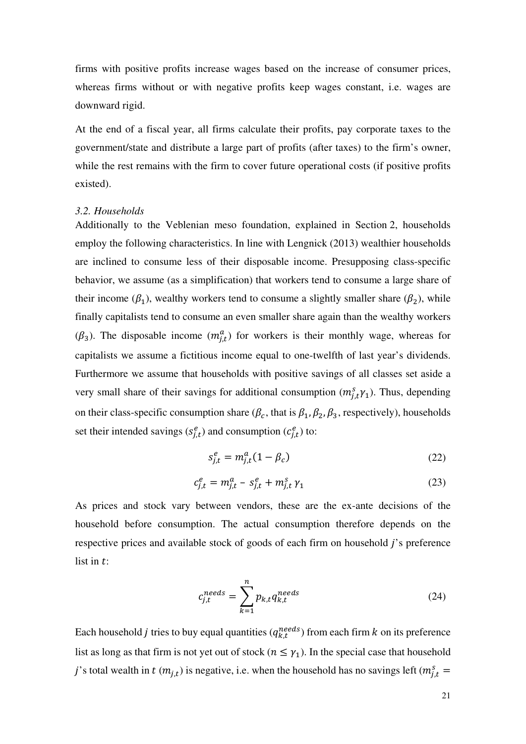firms with positive profits increase wages based on the increase of consumer prices, whereas firms without or with negative profits keep wages constant, i.e. wages are downward rigid.

At the end of a fiscal year, all firms calculate their profits, pay corporate taxes to the government/state and distribute a large part of profits (after taxes) to the firm's owner, while the rest remains with the firm to cover future operational costs (if positive profits existed).

#### *3.2. Households*

Additionally to the Veblenian meso foundation, explained in Section 2, households employ the following characteristics. In line with Lengnick (2013) wealthier households are inclined to consume less of their disposable income. Presupposing class-specific behavior, we assume (as a simplification) that workers tend to consume a large share of their income ( $\beta_1$ ), wealthy workers tend to consume a slightly smaller share ( $\beta_2$ ), while finally capitalists tend to consume an even smaller share again than the wealthy workers  $(\beta_3)$ . The disposable income  $(m_{j,t}^a)$  for workers is their monthly wage, whereas for capitalists we assume a fictitious income equal to one-twelfth of last year's dividends. Furthermore we assume that households with positive savings of all classes set aside a very small share of their savings for additional consumption  $(m_{j,t}^s \gamma_1)$ . Thus, depending on their class-specific consumption share ( $\beta_c$ , that is  $\beta_1$ ,  $\beta_2$ ,  $\beta_3$ , respectively), households set their intended savings  $(s_{j,t}^e)$  and consumption  $(c_{j,t}^e)$  to:

$$
s_{j,t}^e = m_{j,t}^a (1 - \beta_c) \tag{22}
$$

$$
c_{j,t}^e = m_{j,t}^a - s_{j,t}^e + m_{j,t}^s \gamma_1 \tag{23}
$$

As prices and stock vary between vendors, these are the ex-ante decisions of the household before consumption. The actual consumption therefore depends on the respective prices and available stock of goods of each firm on household *j*'s preference list in  $t$ :

$$
c_{j,t}^{needs} = \sum_{k=1}^{n} p_{k,t} q_{k,t}^{needs} \tag{24}
$$

Each household *j* tries to buy equal quantities  $(q_{k,t}^{needs})$  from each firm *k* on its preference list as long as that firm is not yet out of stock ( $n \leq \gamma_1$ ). In the special case that household j's total wealth in  $t (m_{j,t})$  is negative, i.e. when the household has no savings left ( $m_{j,t}^s =$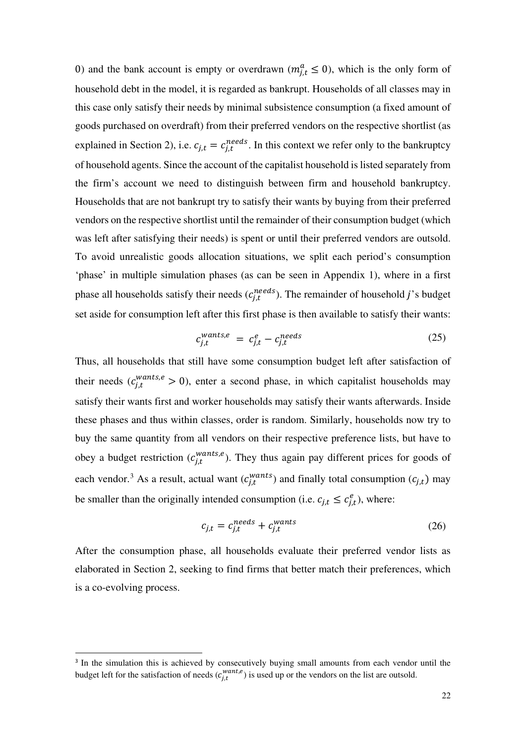0) and the bank account is empty or overdrawn ( $m_{j,t}^a \le 0$ ), which is the only form of household debt in the model, it is regarded as bankrupt. Households of all classes may in this case only satisfy their needs by minimal subsistence consumption (a fixed amount of goods purchased on overdraft) from their preferred vendors on the respective shortlist (as explained in Section 2), i.e.  $c_{j,t} = c_{j,t}^{needs}$ . In this context we refer only to the bankruptcy of household agents. Since the account of the capitalist household is listed separately from the firm's account we need to distinguish between firm and household bankruptcy. Households that are not bankrupt try to satisfy their wants by buying from their preferred vendors on the respective shortlist until the remainder of their consumption budget (which was left after satisfying their needs) is spent or until their preferred vendors are outsold. To avoid unrealistic goods allocation situations, we split each period's consumption 'phase' in multiple simulation phases (as can be seen in Appendix 1), where in a first phase all households satisfy their needs  $(c_{j,t}^{needs})$ . The remainder of household j's budget set aside for consumption left after this first phase is then available to satisfy their wants:

$$
c_{j,t}^{wants,e} = c_{j,t}^e - c_{j,t}^{needs} \tag{25}
$$

Thus, all households that still have some consumption budget left after satisfaction of their needs  $(c_{j,t}^{wants,e} > 0)$ , enter a second phase, in which capitalist households may satisfy their wants first and worker households may satisfy their wants afterwards. Inside these phases and thus within classes, order is random. Similarly, households now try to buy the same quantity from all vendors on their respective preference lists, but have to obey a budget restriction  $(c_{j,t}^{wants,e})$ . They thus again pay different prices for goods of each vendor.<sup>[3](#page-18-0)</sup> As a result, actual want  $(c_{j,t}^{wants})$  and finally total consumption  $(c_{j,t})$  may be smaller than the originally intended consumption (i.e.  $c_{j,t} \leq c_{j,t}^e$ ), where:

$$
c_{j,t} = c_{j,t}^{needs} + c_{j,t}^{wants}
$$
 (26)

After the consumption phase, all households evaluate their preferred vendor lists as elaborated in Section 2, seeking to find firms that better match their preferences, which is a co-evolving process.

-

<span id="page-18-0"></span><sup>&</sup>lt;sup>3</sup> In the simulation this is achieved by consecutively buying small amounts from each vendor until the budget left for the satisfaction of needs  $(c_{j,t}^{want,e})$  is used up or the vendors on the list are outsold.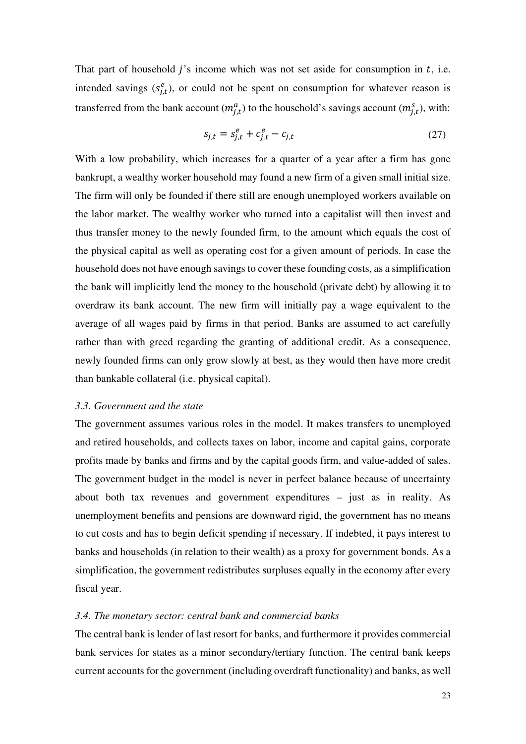That part of household  $j$ 's income which was not set aside for consumption in  $t$ , i.e. intended savings  $(s_{j,t}^e)$ , or could not be spent on consumption for whatever reason is transferred from the bank account  $(m_{j,t}^a)$  to the household's savings account  $(m_{j,t}^s)$ , with:

$$
s_{j,t} = s_{j,t}^e + c_{j,t}^e - c_{j,t}
$$
 (27)

With a low probability, which increases for a quarter of a year after a firm has gone bankrupt, a wealthy worker household may found a new firm of a given small initial size. The firm will only be founded if there still are enough unemployed workers available on the labor market. The wealthy worker who turned into a capitalist will then invest and thus transfer money to the newly founded firm, to the amount which equals the cost of the physical capital as well as operating cost for a given amount of periods. In case the household does not have enough savings to cover these founding costs, as a simplification the bank will implicitly lend the money to the household (private debt) by allowing it to overdraw its bank account. The new firm will initially pay a wage equivalent to the average of all wages paid by firms in that period. Banks are assumed to act carefully rather than with greed regarding the granting of additional credit. As a consequence, newly founded firms can only grow slowly at best, as they would then have more credit than bankable collateral (i.e. physical capital).

#### *3.3. Government and the state*

The government assumes various roles in the model. It makes transfers to unemployed and retired households, and collects taxes on labor, income and capital gains, corporate profits made by banks and firms and by the capital goods firm, and value-added of sales. The government budget in the model is never in perfect balance because of uncertainty about both tax revenues and government expenditures – just as in reality. As unemployment benefits and pensions are downward rigid, the government has no means to cut costs and has to begin deficit spending if necessary. If indebted, it pays interest to banks and households (in relation to their wealth) as a proxy for government bonds. As a simplification, the government redistributes surpluses equally in the economy after every fiscal year.

#### *3.4. The monetary sector: central bank and commercial banks*

The central bank is lender of last resort for banks, and furthermore it provides commercial bank services for states as a minor secondary/tertiary function. The central bank keeps current accounts for the government (including overdraft functionality) and banks, as well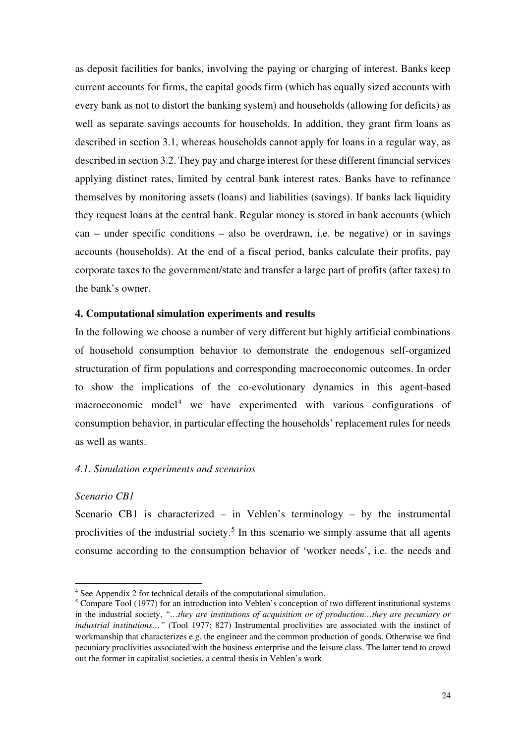as deposit facilities for banks, involving the paying or charging of interest. Banks keep current accounts for firms, the capital goods firm (which has equally sized accounts with every bank as not to distort the banking system) and households (allowing for deficits) as well as separate savings accounts for households. In addition, they grant firm loans as described in section 3.1, whereas households cannot apply for loans in a regular way, as described in section 3.2. They pay and charge interest for these different financial services applying distinct rates, limited by central bank interest rates. Banks have to refinance themselves by monitoring assets (loans) and liabilities (savings). If banks lack liquidity they request loans at the central bank. Regular money is stored in bank accounts (which can – under specific conditions – also be overdrawn, i.e. be negative) or in savings accounts (households). At the end of a fiscal period, banks calculate their profits, pay corporate taxes to the government/state and transfer a large part of profits (after taxes) to the bank's owner.

# **4. Computational simulation experiments and results**

In the following we choose a number of very different but highly artificial combinations of household consumption behavior to demonstrate the endogenous self-organized structuration of firm populations and corresponding macroeconomic outcomes. In order to show the implications of the co-evolutionary dynamics in this agent-based macroeconomic model<sup>[4](#page-20-0)</sup> we have experimented with various configurations of consumption behavior, in particular effecting the households' replacement rules for needs as well as wants.

# *4.1. Simulation experiments and scenarios*

#### *Scenario CB1*

<u>.</u>

Scenario CB1 is characterized – in Veblen's terminology – by the instrumental proclivities of the industrial society.<sup>[5](#page-20-1)</sup> In this scenario we simply assume that all agents consume according to the consumption behavior of 'worker needs', i.e. the needs and

<span id="page-20-0"></span><sup>4</sup> See Appendix 2 for technical details of the computational simulation.

<span id="page-20-1"></span><sup>5</sup> Compare Tool (1977) for an introduction into Veblen's conception of two different institutional systems in the industrial society, *"…they are institutions of acquisition or of production…they are pecuniary or industrial institutions…"* (Tool 1977: 827) Instrumental proclivities are associated with the instinct of workmanship that characterizes e.g. the engineer and the common production of goods. Otherwise we find pecuniary proclivities associated with the business enterprise and the leisure class. The latter tend to crowd out the former in capitalist societies, a central thesis in Veblen's work.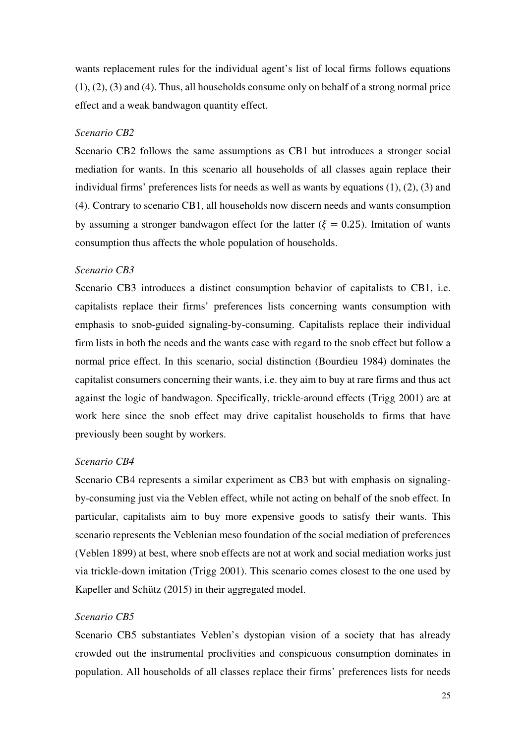wants replacement rules for the individual agent's list of local firms follows equations (1), (2), (3) and (4). Thus, all households consume only on behalf of a strong normal price effect and a weak bandwagon quantity effect.

# *Scenario CB2*

Scenario CB2 follows the same assumptions as CB1 but introduces a stronger social mediation for wants. In this scenario all households of all classes again replace their individual firms' preferences lists for needs as well as wants by equations (1), (2), (3) and (4). Contrary to scenario CB1, all households now discern needs and wants consumption by assuming a stronger bandwagon effect for the latter ( $\xi = 0.25$ ). Imitation of wants consumption thus affects the whole population of households.

### *Scenario CB3*

Scenario CB3 introduces a distinct consumption behavior of capitalists to CB1, i.e. capitalists replace their firms' preferences lists concerning wants consumption with emphasis to snob-guided signaling-by-consuming. Capitalists replace their individual firm lists in both the needs and the wants case with regard to the snob effect but follow a normal price effect. In this scenario, social distinction (Bourdieu 1984) dominates the capitalist consumers concerning their wants, i.e. they aim to buy at rare firms and thus act against the logic of bandwagon. Specifically, trickle-around effects (Trigg 2001) are at work here since the snob effect may drive capitalist households to firms that have previously been sought by workers.

#### *Scenario CB4*

Scenario CB4 represents a similar experiment as CB3 but with emphasis on signalingby-consuming just via the Veblen effect, while not acting on behalf of the snob effect. In particular, capitalists aim to buy more expensive goods to satisfy their wants. This scenario represents the Veblenian meso foundation of the social mediation of preferences (Veblen 1899) at best, where snob effects are not at work and social mediation works just via trickle-down imitation (Trigg 2001). This scenario comes closest to the one used by Kapeller and Schütz (2015) in their aggregated model.

#### *Scenario CB5*

Scenario CB5 substantiates Veblen's dystopian vision of a society that has already crowded out the instrumental proclivities and conspicuous consumption dominates in population. All households of all classes replace their firms' preferences lists for needs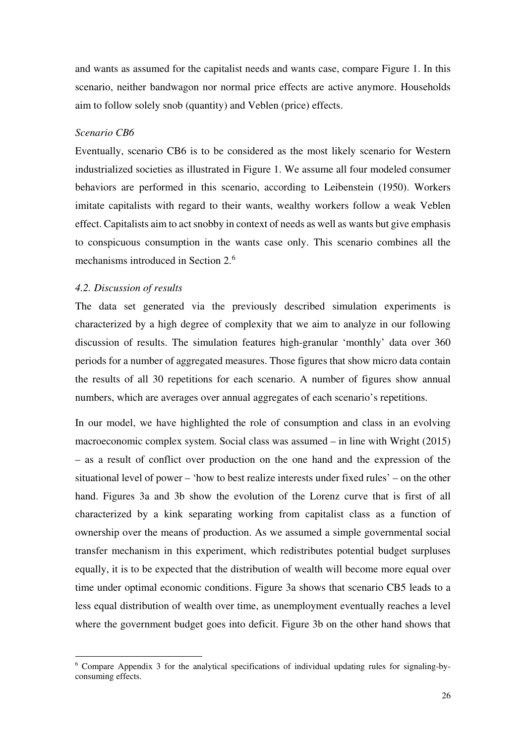and wants as assumed for the capitalist needs and wants case, compare Figure 1. In this scenario, neither bandwagon nor normal price effects are active anymore. Households aim to follow solely snob (quantity) and Veblen (price) effects.

# *Scenario CB6*

Eventually, scenario CB6 is to be considered as the most likely scenario for Western industrialized societies as illustrated in Figure 1. We assume all four modeled consumer behaviors are performed in this scenario, according to Leibenstein (1950). Workers imitate capitalists with regard to their wants, wealthy workers follow a weak Veblen effect. Capitalists aim to act snobby in context of needs as well as wants but give emphasis to conspicuous consumption in the wants case only. This scenario combines all the mechanisms introduced in Section 2.<sup>[6](#page-22-0)</sup>

### *4.2. Discussion of results*

<u>.</u>

The data set generated via the previously described simulation experiments is characterized by a high degree of complexity that we aim to analyze in our following discussion of results. The simulation features high-granular 'monthly' data over 360 periods for a number of aggregated measures. Those figures that show micro data contain the results of all 30 repetitions for each scenario. A number of figures show annual numbers, which are averages over annual aggregates of each scenario's repetitions.

In our model, we have highlighted the role of consumption and class in an evolving macroeconomic complex system. Social class was assumed – in line with Wright (2015) – as a result of conflict over production on the one hand and the expression of the situational level of power – 'how to best realize interests under fixed rules' – on the other hand. Figures 3a and 3b show the evolution of the Lorenz curve that is first of all characterized by a kink separating working from capitalist class as a function of ownership over the means of production. As we assumed a simple governmental social transfer mechanism in this experiment, which redistributes potential budget surpluses equally, it is to be expected that the distribution of wealth will become more equal over time under optimal economic conditions. Figure 3a shows that scenario CB5 leads to a less equal distribution of wealth over time, as unemployment eventually reaches a level where the government budget goes into deficit. Figure 3b on the other hand shows that

<span id="page-22-0"></span><sup>6</sup> Compare Appendix 3 for the analytical specifications of individual updating rules for signaling-byconsuming effects.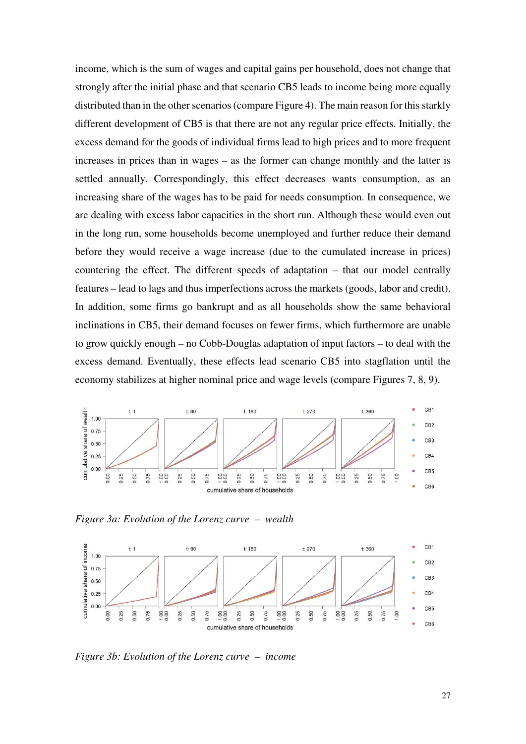income, which is the sum of wages and capital gains per household, does not change that strongly after the initial phase and that scenario CB5 leads to income being more equally distributed than in the other scenarios (compare Figure 4). The main reason for this starkly different development of CB5 is that there are not any regular price effects. Initially, the excess demand for the goods of individual firms lead to high prices and to more frequent increases in prices than in wages – as the former can change monthly and the latter is settled annually. Correspondingly, this effect decreases wants consumption, as an increasing share of the wages has to be paid for needs consumption. In consequence, we are dealing with excess labor capacities in the short run. Although these would even out in the long run, some households become unemployed and further reduce their demand before they would receive a wage increase (due to the cumulated increase in prices) countering the effect. The different speeds of adaptation – that our model centrally features – lead to lags and thus imperfections across the markets (goods, labor and credit). In addition, some firms go bankrupt and as all households show the same behavioral inclinations in CB5, their demand focuses on fewer firms, which furthermore are unable to grow quickly enough – no Cobb-Douglas adaptation of input factors – to deal with the excess demand. Eventually, these effects lead scenario CB5 into stagflation until the economy stabilizes at higher nominal price and wage levels (compare Figures 7, 8, 9).



*Figure 3a: Evolution of the Lorenz curve – wealth*



*Figure 3b: Evolution of the Lorenz curve – income*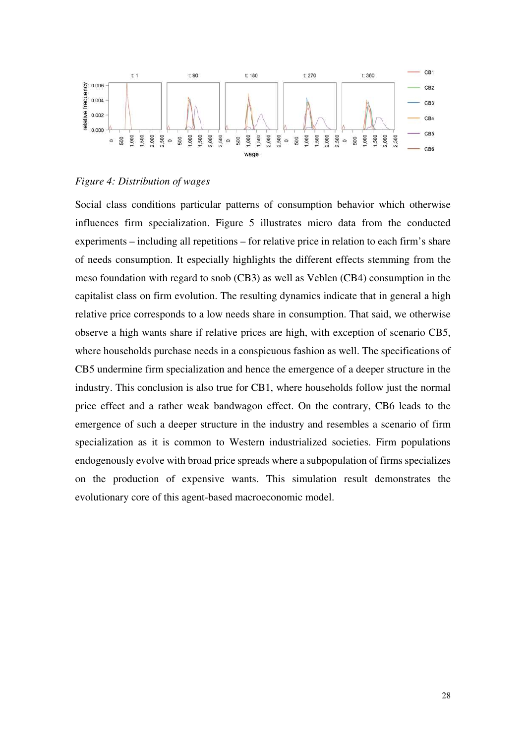

#### *Figure 4: Distribution of wages*

Social class conditions particular patterns of consumption behavior which otherwise influences firm specialization. Figure 5 illustrates micro data from the conducted experiments – including all repetitions – for relative price in relation to each firm's share of needs consumption. It especially highlights the different effects stemming from the meso foundation with regard to snob (CB3) as well as Veblen (CB4) consumption in the capitalist class on firm evolution. The resulting dynamics indicate that in general a high relative price corresponds to a low needs share in consumption. That said, we otherwise observe a high wants share if relative prices are high, with exception of scenario CB5, where households purchase needs in a conspicuous fashion as well. The specifications of CB5 undermine firm specialization and hence the emergence of a deeper structure in the industry. This conclusion is also true for CB1, where households follow just the normal price effect and a rather weak bandwagon effect. On the contrary, CB6 leads to the emergence of such a deeper structure in the industry and resembles a scenario of firm specialization as it is common to Western industrialized societies. Firm populations endogenously evolve with broad price spreads where a subpopulation of firms specializes on the production of expensive wants. This simulation result demonstrates the evolutionary core of this agent-based macroeconomic model.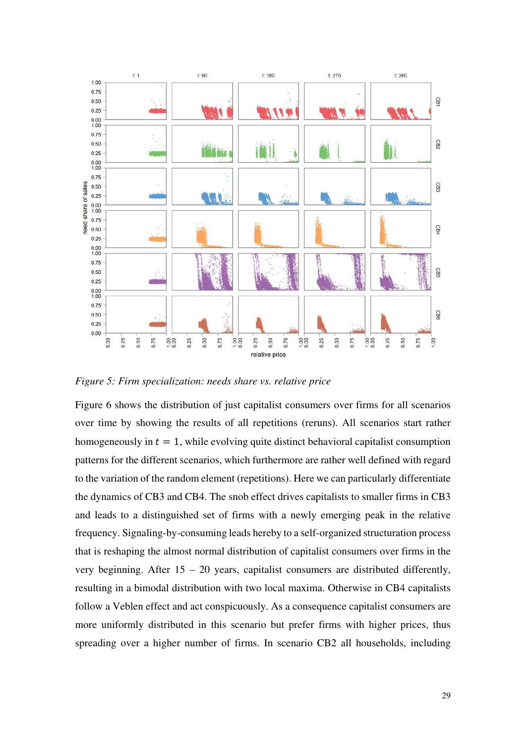

*Figure 5: Firm specialization: needs share vs. relative price*

Figure 6 shows the distribution of just capitalist consumers over firms for all scenarios over time by showing the results of all repetitions (reruns). All scenarios start rather homogeneously in  $t = 1$ , while evolving quite distinct behavioral capitalist consumption patterns for the different scenarios, which furthermore are rather well defined with regard to the variation of the random element (repetitions). Here we can particularly differentiate the dynamics of CB3 and CB4. The snob effect drives capitalists to smaller firms in CB3 and leads to a distinguished set of firms with a newly emerging peak in the relative frequency. Signaling-by-consuming leads hereby to a self-organized structuration process that is reshaping the almost normal distribution of capitalist consumers over firms in the very beginning. After 15 – 20 years, capitalist consumers are distributed differently, resulting in a bimodal distribution with two local maxima. Otherwise in CB4 capitalists follow a Veblen effect and act conspicuously. As a consequence capitalist consumers are more uniformly distributed in this scenario but prefer firms with higher prices, thus spreading over a higher number of firms. In scenario CB2 all households, including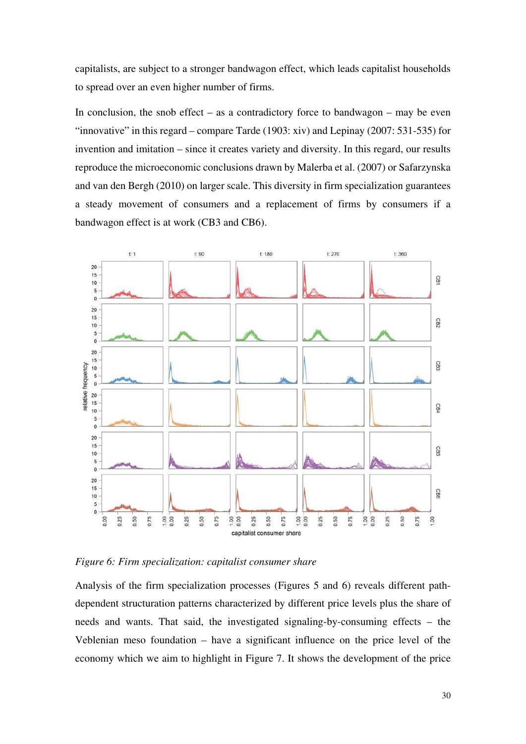capitalists, are subject to a stronger bandwagon effect, which leads capitalist households to spread over an even higher number of firms.

In conclusion, the snob effect – as a contradictory force to bandwagon – may be even "innovative" in this regard – compare Tarde (1903: xiv) and Lepinay (2007: 531-535) for invention and imitation – since it creates variety and diversity. In this regard, our results reproduce the microeconomic conclusions drawn by Malerba et al. (2007) or Safarzynska and van den Bergh (2010) on larger scale. This diversity in firm specialization guarantees a steady movement of consumers and a replacement of firms by consumers if a bandwagon effect is at work (CB3 and CB6).



*Figure 6: Firm specialization: capitalist consumer share*

Analysis of the firm specialization processes (Figures 5 and 6) reveals different pathdependent structuration patterns characterized by different price levels plus the share of needs and wants. That said, the investigated signaling-by-consuming effects – the Veblenian meso foundation – have a significant influence on the price level of the economy which we aim to highlight in Figure 7. It shows the development of the price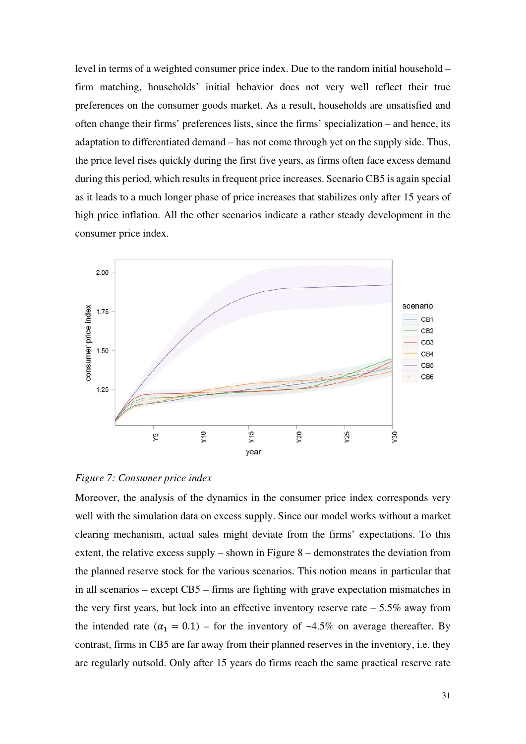level in terms of a weighted consumer price index. Due to the random initial household – firm matching, households' initial behavior does not very well reflect their true preferences on the consumer goods market. As a result, households are unsatisfied and often change their firms' preferences lists, since the firms' specialization – and hence, its adaptation to differentiated demand – has not come through yet on the supply side. Thus, the price level rises quickly during the first five years, as firms often face excess demand during this period, which results in frequent price increases. Scenario CB5 is again special as it leads to a much longer phase of price increases that stabilizes only after 15 years of high price inflation. All the other scenarios indicate a rather steady development in the consumer price index.





Moreover, the analysis of the dynamics in the consumer price index corresponds very well with the simulation data on excess supply. Since our model works without a market clearing mechanism, actual sales might deviate from the firms' expectations. To this extent, the relative excess supply – shown in Figure 8 – demonstrates the deviation from the planned reserve stock for the various scenarios. This notion means in particular that in all scenarios – except CB5 – firms are fighting with grave expectation mismatches in the very first years, but lock into an effective inventory reserve rate  $-5.5\%$  away from the intended rate ( $\alpha_1 = 0.1$ ) – for the inventory of ~4.5% on average thereafter. By contrast, firms in CB5 are far away from their planned reserves in the inventory, i.e. they are regularly outsold. Only after 15 years do firms reach the same practical reserve rate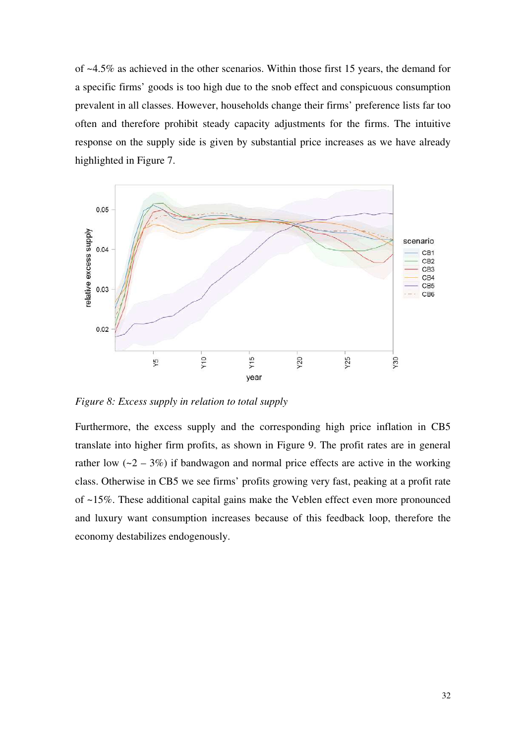of ~4.5% as achieved in the other scenarios. Within those first 15 years, the demand for a specific firms' goods is too high due to the snob effect and conspicuous consumption prevalent in all classes. However, households change their firms' preference lists far too often and therefore prohibit steady capacity adjustments for the firms. The intuitive response on the supply side is given by substantial price increases as we have already highlighted in Figure 7.



*Figure 8: Excess supply in relation to total supply* 

Furthermore, the excess supply and the corresponding high price inflation in CB5 translate into higher firm profits, as shown in Figure 9. The profit rates are in general rather low  $(-2 - 3\%)$  if bandwagon and normal price effects are active in the working class. Otherwise in CB5 we see firms' profits growing very fast, peaking at a profit rate of ~15%. These additional capital gains make the Veblen effect even more pronounced and luxury want consumption increases because of this feedback loop, therefore the economy destabilizes endogenously.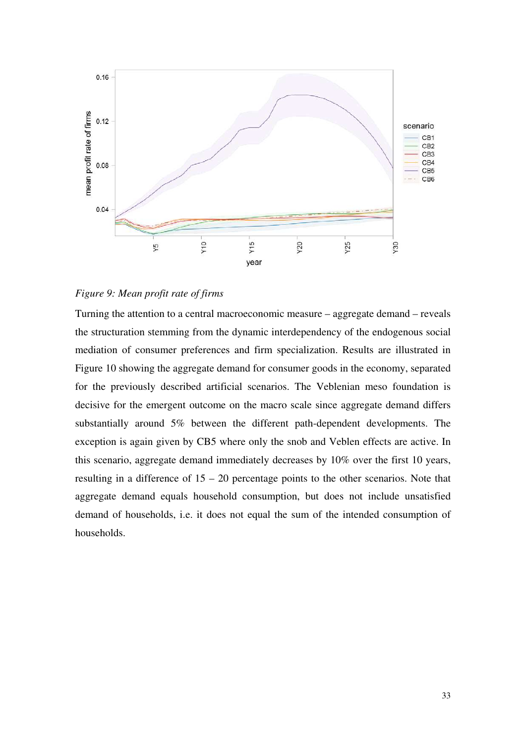

*Figure 9: Mean profit rate of firms*

Turning the attention to a central macroeconomic measure – aggregate demand – reveals the structuration stemming from the dynamic interdependency of the endogenous social mediation of consumer preferences and firm specialization. Results are illustrated in Figure 10 showing the aggregate demand for consumer goods in the economy, separated for the previously described artificial scenarios. The Veblenian meso foundation is decisive for the emergent outcome on the macro scale since aggregate demand differs substantially around 5% between the different path-dependent developments. The exception is again given by CB5 where only the snob and Veblen effects are active. In this scenario, aggregate demand immediately decreases by 10% over the first 10 years, resulting in a difference of 15 – 20 percentage points to the other scenarios. Note that aggregate demand equals household consumption, but does not include unsatisfied demand of households, i.e. it does not equal the sum of the intended consumption of households.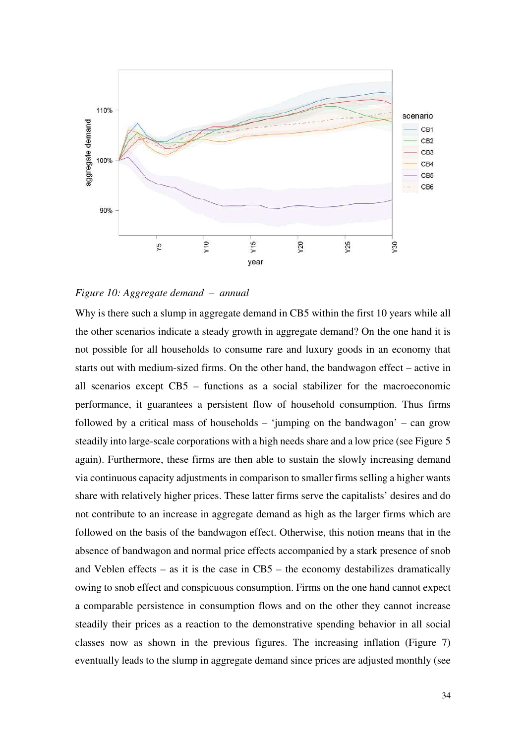

*Figure 10: Aggregate demand – annual* 

Why is there such a slump in aggregate demand in CB5 within the first 10 years while all the other scenarios indicate a steady growth in aggregate demand? On the one hand it is not possible for all households to consume rare and luxury goods in an economy that starts out with medium-sized firms. On the other hand, the bandwagon effect – active in all scenarios except CB5 – functions as a social stabilizer for the macroeconomic performance, it guarantees a persistent flow of household consumption. Thus firms followed by a critical mass of households – 'jumping on the bandwagon' – can grow steadily into large-scale corporations with a high needs share and a low price (see Figure 5 again). Furthermore, these firms are then able to sustain the slowly increasing demand via continuous capacity adjustments in comparison to smaller firms selling a higher wants share with relatively higher prices. These latter firms serve the capitalists' desires and do not contribute to an increase in aggregate demand as high as the larger firms which are followed on the basis of the bandwagon effect. Otherwise, this notion means that in the absence of bandwagon and normal price effects accompanied by a stark presence of snob and Veblen effects – as it is the case in CB5 – the economy destabilizes dramatically owing to snob effect and conspicuous consumption. Firms on the one hand cannot expect a comparable persistence in consumption flows and on the other they cannot increase steadily their prices as a reaction to the demonstrative spending behavior in all social classes now as shown in the previous figures. The increasing inflation (Figure 7) eventually leads to the slump in aggregate demand since prices are adjusted monthly (see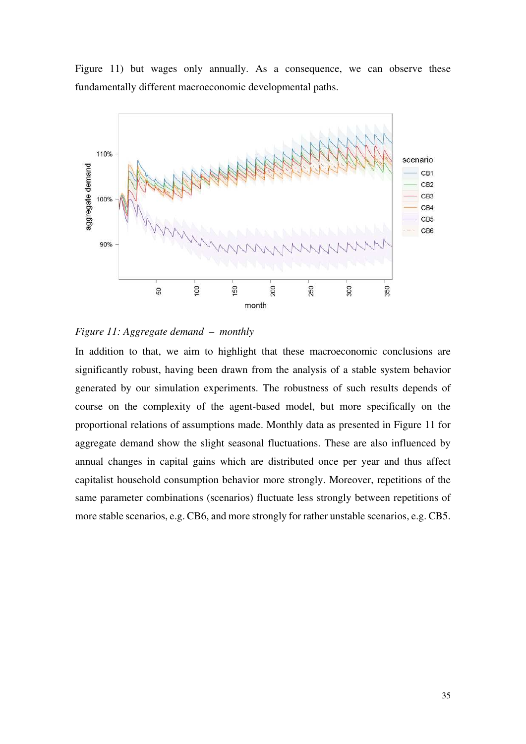Figure 11) but wages only annually. As a consequence, we can observe these fundamentally different macroeconomic developmental paths.





In addition to that, we aim to highlight that these macroeconomic conclusions are significantly robust, having been drawn from the analysis of a stable system behavior generated by our simulation experiments. The robustness of such results depends of course on the complexity of the agent-based model, but more specifically on the proportional relations of assumptions made. Monthly data as presented in Figure 11 for aggregate demand show the slight seasonal fluctuations. These are also influenced by annual changes in capital gains which are distributed once per year and thus affect capitalist household consumption behavior more strongly. Moreover, repetitions of the same parameter combinations (scenarios) fluctuate less strongly between repetitions of more stable scenarios, e.g. CB6, and more strongly for rather unstable scenarios, e.g. CB5.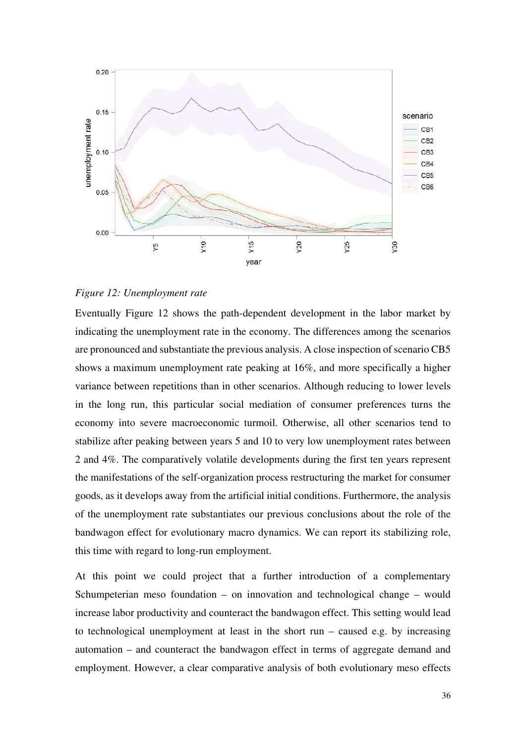

*Figure 12: Unemployment rate*

Eventually Figure 12 shows the path-dependent development in the labor market by indicating the unemployment rate in the economy. The differences among the scenarios are pronounced and substantiate the previous analysis. A close inspection of scenario CB5 shows a maximum unemployment rate peaking at 16%, and more specifically a higher variance between repetitions than in other scenarios. Although reducing to lower levels in the long run, this particular social mediation of consumer preferences turns the economy into severe macroeconomic turmoil. Otherwise, all other scenarios tend to stabilize after peaking between years 5 and 10 to very low unemployment rates between 2 and 4%. The comparatively volatile developments during the first ten years represent the manifestations of the self-organization process restructuring the market for consumer goods, as it develops away from the artificial initial conditions. Furthermore, the analysis of the unemployment rate substantiates our previous conclusions about the role of the bandwagon effect for evolutionary macro dynamics. We can report its stabilizing role, this time with regard to long-run employment.

At this point we could project that a further introduction of a complementary Schumpeterian meso foundation – on innovation and technological change – would increase labor productivity and counteract the bandwagon effect. This setting would lead to technological unemployment at least in the short run – caused e.g. by increasing automation – and counteract the bandwagon effect in terms of aggregate demand and employment. However, a clear comparative analysis of both evolutionary meso effects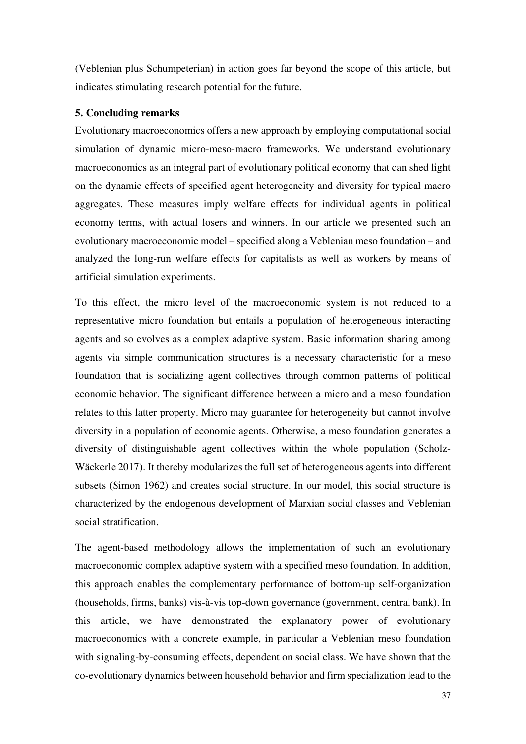(Veblenian plus Schumpeterian) in action goes far beyond the scope of this article, but indicates stimulating research potential for the future.

#### **5. Concluding remarks**

Evolutionary macroeconomics offers a new approach by employing computational social simulation of dynamic micro-meso-macro frameworks. We understand evolutionary macroeconomics as an integral part of evolutionary political economy that can shed light on the dynamic effects of specified agent heterogeneity and diversity for typical macro aggregates. These measures imply welfare effects for individual agents in political economy terms, with actual losers and winners. In our article we presented such an evolutionary macroeconomic model – specified along a Veblenian meso foundation – and analyzed the long-run welfare effects for capitalists as well as workers by means of artificial simulation experiments.

To this effect, the micro level of the macroeconomic system is not reduced to a representative micro foundation but entails a population of heterogeneous interacting agents and so evolves as a complex adaptive system. Basic information sharing among agents via simple communication structures is a necessary characteristic for a meso foundation that is socializing agent collectives through common patterns of political economic behavior. The significant difference between a micro and a meso foundation relates to this latter property. Micro may guarantee for heterogeneity but cannot involve diversity in a population of economic agents. Otherwise, a meso foundation generates a diversity of distinguishable agent collectives within the whole population (Scholz-Wäckerle 2017). It thereby modularizes the full set of heterogeneous agents into different subsets (Simon 1962) and creates social structure. In our model, this social structure is characterized by the endogenous development of Marxian social classes and Veblenian social stratification.

The agent-based methodology allows the implementation of such an evolutionary macroeconomic complex adaptive system with a specified meso foundation. In addition, this approach enables the complementary performance of bottom-up self-organization (households, firms, banks) vis-à-vis top-down governance (government, central bank). In this article, we have demonstrated the explanatory power of evolutionary macroeconomics with a concrete example, in particular a Veblenian meso foundation with signaling-by-consuming effects, dependent on social class. We have shown that the co-evolutionary dynamics between household behavior and firm specialization lead to the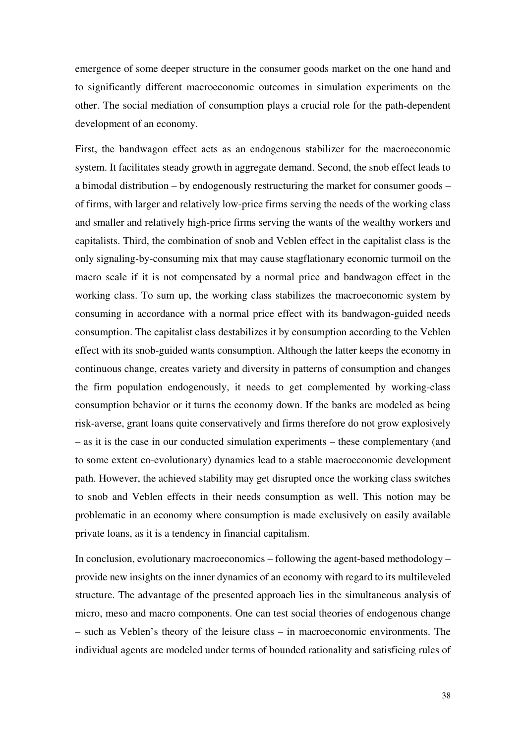emergence of some deeper structure in the consumer goods market on the one hand and to significantly different macroeconomic outcomes in simulation experiments on the other. The social mediation of consumption plays a crucial role for the path-dependent development of an economy.

First, the bandwagon effect acts as an endogenous stabilizer for the macroeconomic system. It facilitates steady growth in aggregate demand. Second, the snob effect leads to a bimodal distribution – by endogenously restructuring the market for consumer goods – of firms, with larger and relatively low-price firms serving the needs of the working class and smaller and relatively high-price firms serving the wants of the wealthy workers and capitalists. Third, the combination of snob and Veblen effect in the capitalist class is the only signaling-by-consuming mix that may cause stagflationary economic turmoil on the macro scale if it is not compensated by a normal price and bandwagon effect in the working class. To sum up, the working class stabilizes the macroeconomic system by consuming in accordance with a normal price effect with its bandwagon-guided needs consumption. The capitalist class destabilizes it by consumption according to the Veblen effect with its snob-guided wants consumption. Although the latter keeps the economy in continuous change, creates variety and diversity in patterns of consumption and changes the firm population endogenously, it needs to get complemented by working-class consumption behavior or it turns the economy down. If the banks are modeled as being risk-averse, grant loans quite conservatively and firms therefore do not grow explosively – as it is the case in our conducted simulation experiments – these complementary (and to some extent co-evolutionary) dynamics lead to a stable macroeconomic development path. However, the achieved stability may get disrupted once the working class switches to snob and Veblen effects in their needs consumption as well. This notion may be problematic in an economy where consumption is made exclusively on easily available private loans, as it is a tendency in financial capitalism.

In conclusion, evolutionary macroeconomics – following the agent-based methodology – provide new insights on the inner dynamics of an economy with regard to its multileveled structure. The advantage of the presented approach lies in the simultaneous analysis of micro, meso and macro components. One can test social theories of endogenous change – such as Veblen's theory of the leisure class – in macroeconomic environments. The individual agents are modeled under terms of bounded rationality and satisficing rules of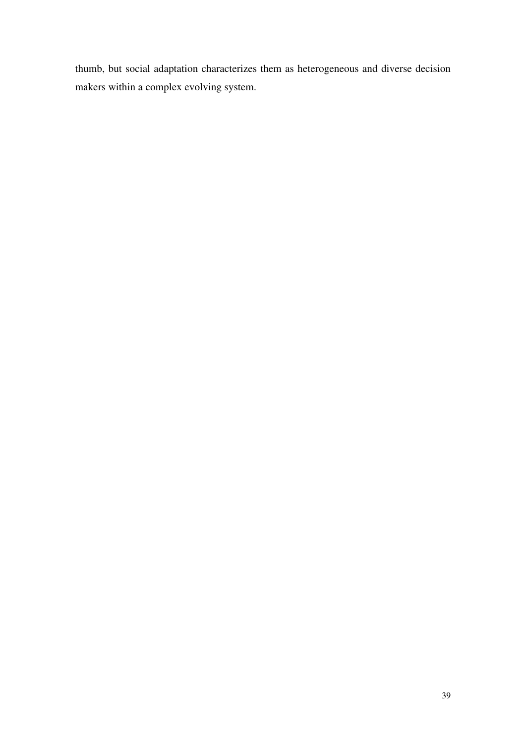thumb, but social adaptation characterizes them as heterogeneous and diverse decision makers within a complex evolving system.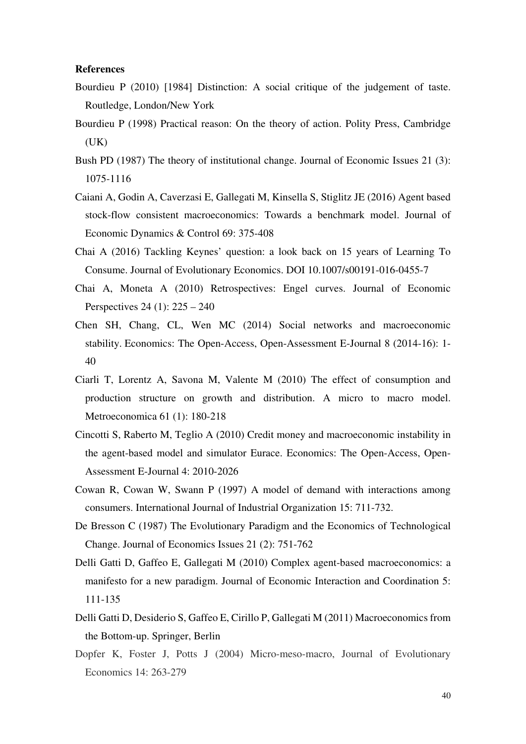#### **References**

- Bourdieu P (2010) [1984] Distinction: A social critique of the judgement of taste. Routledge, London/New York
- Bourdieu P (1998) Practical reason: On the theory of action. Polity Press, Cambridge  $(UK)$
- Bush PD (1987) The theory of institutional change. Journal of Economic Issues 21 (3): 1075-1116
- Caiani A, Godin A, Caverzasi E, Gallegati M, Kinsella S, Stiglitz JE (2016) Agent based stock-flow consistent macroeconomics: Towards a benchmark model. Journal of Economic Dynamics & Control 69: 375-408
- Chai A (2016) Tackling Keynes' question: a look back on 15 years of Learning To Consume. Journal of Evolutionary Economics. DOI 10.1007/s00191-016-0455-7
- Chai A, Moneta A (2010) Retrospectives: Engel curves. Journal of Economic Perspectives 24 (1): 225 – 240
- Chen SH, Chang, CL, Wen MC (2014) Social networks and macroeconomic stability. Economics: The Open-Access, Open-Assessment E-Journal 8 (2014-16): 1- 40
- Ciarli T, Lorentz A, Savona M, Valente M (2010) The effect of consumption and production structure on growth and distribution. A micro to macro model. Metroeconomica 61 (1): 180-218
- Cincotti S, Raberto M, Teglio A (2010) Credit money and macroeconomic instability in the agent-based model and simulator Eurace. Economics: The Open-Access, Open-Assessment E-Journal 4: 2010-2026
- Cowan R, Cowan W, Swann P (1997) A model of demand with interactions among consumers. International Journal of Industrial Organization 15: 711-732.
- De Bresson C (1987) The Evolutionary Paradigm and the Economics of Technological Change. Journal of Economics Issues 21 (2): 751-762
- Delli Gatti D, Gaffeo E, Gallegati M (2010) Complex agent-based macroeconomics: a manifesto for a new paradigm. Journal of Economic Interaction and Coordination 5: 111-135
- Delli Gatti D, Desiderio S, Gaffeo E, Cirillo P, Gallegati M (2011) Macroeconomics from the Bottom-up. Springer, Berlin
- Dopfer K, Foster J, Potts J (2004) Micro-meso-macro, Journal of Evolutionary Economics 14: 263-279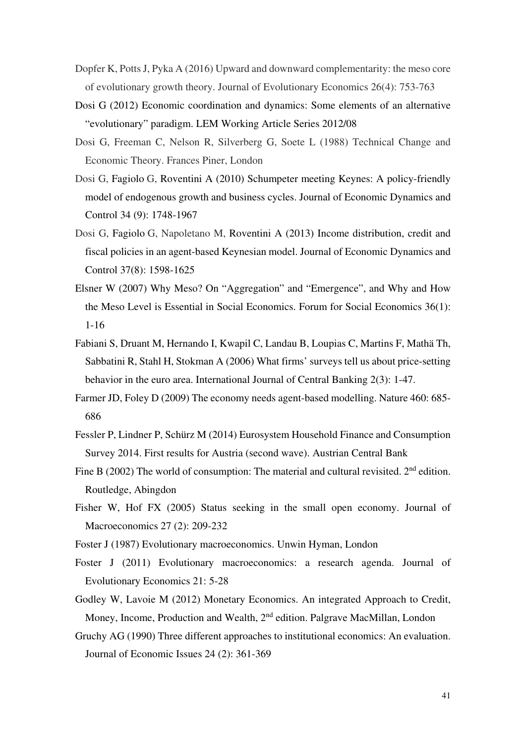- Dopfer K, Potts J, Pyka A (2016) Upward and downward complementarity: the meso core of evolutionary growth theory. Journal of Evolutionary Economics 26(4): 753-763
- Dosi G (2012) Economic coordination and dynamics: Some elements of an alternative "evolutionary" paradigm. LEM Working Article Series 2012/08
- Dosi G, Freeman C, Nelson R, Silverberg G, Soete L (1988) Technical Change and Economic Theory. Frances Piner, London
- Dosi G, Fagiolo G, Roventini A (2010) Schumpeter meeting Keynes: A policy-friendly model of endogenous growth and business cycles. Journal of Economic Dynamics and Control 34 (9): 1748-1967
- Dosi G, Fagiolo G, Napoletano M, Roventini A (2013) Income distribution, credit and fiscal policies in an agent-based Keynesian model. Journal of Economic Dynamics and Control 37(8): 1598-1625
- Elsner W (2007) Why Meso? On "Aggregation" and "Emergence", and Why and How the Meso Level is Essential in Social Economics. Forum for Social Economics 36(1): 1-16
- Fabiani S, Druant M, Hernando I, Kwapil C, Landau B, Loupias C, Martins F, Mathä Th, Sabbatini R, Stahl H, Stokman A (2006) What firms' surveys tell us about price-setting behavior in the euro area. International Journal of Central Banking 2(3): 1-47.
- Farmer JD, Foley D (2009) The economy needs agent-based modelling. Nature 460: 685- 686
- Fessler P, Lindner P, Schürz M (2014) Eurosystem Household Finance and Consumption Survey 2014. First results for Austria (second wave). Austrian Central Bank
- Fine B (2002) The world of consumption: The material and cultural revisited.  $2<sup>nd</sup>$  edition. Routledge, Abingdon
- Fisher W, Hof FX (2005) Status seeking in the small open economy. Journal of Macroeconomics 27 (2): 209-232
- Foster J (1987) Evolutionary macroeconomics. Unwin Hyman, London
- Foster J (2011) Evolutionary macroeconomics: a research agenda. Journal of Evolutionary Economics 21: 5-28
- Godley W, Lavoie M (2012) Monetary Economics. An integrated Approach to Credit, Money, Income, Production and Wealth, 2<sup>nd</sup> edition. Palgrave MacMillan, London
- Gruchy AG (1990) Three different approaches to institutional economics: An evaluation. Journal of Economic Issues 24 (2): 361-369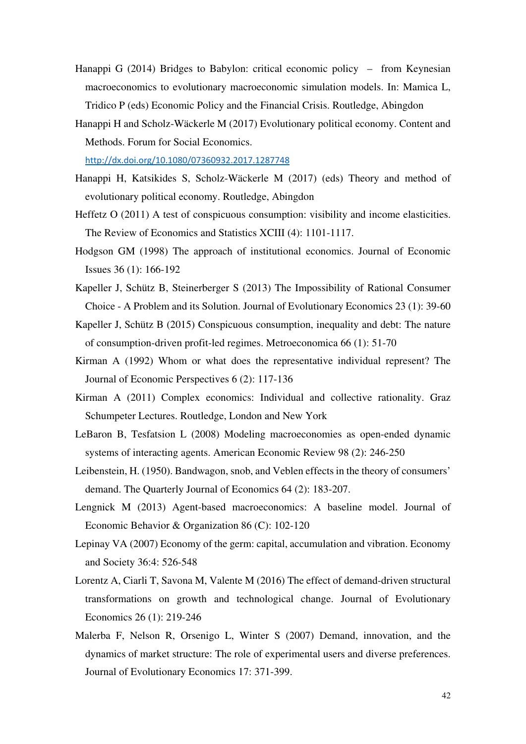- Hanappi G (2014) Bridges to Babylon: critical economic policy from Keynesian macroeconomics to evolutionary macroeconomic simulation models. In: Mamica L, Tridico P (eds) Economic Policy and the Financial Crisis. Routledge, Abingdon
- Hanappi H and Scholz-Wäckerle M (2017) Evolutionary political economy. Content and Methods. Forum for Social Economics.

http://dx.doi.org/10.1080/07360932.2017.1287748

- Hanappi H, Katsikides S, Scholz-Wäckerle M (2017) (eds) Theory and method of evolutionary political economy. Routledge, Abingdon
- Heffetz O (2011) A test of conspicuous consumption: visibility and income elasticities. The Review of Economics and Statistics XCIII (4): 1101-1117.
- Hodgson GM (1998) The approach of institutional economics. Journal of Economic Issues 36 (1): 166-192
- Kapeller J, Schütz B, Steinerberger S (2013) The Impossibility of Rational Consumer Choice - A Problem and its Solution. Journal of Evolutionary Economics 23 (1): 39-60
- Kapeller J, Schütz B (2015) Conspicuous consumption, inequality and debt: The nature of consumption-driven profit-led regimes. Metroeconomica 66 (1): 51-70
- Kirman A (1992) Whom or what does the representative individual represent? The Journal of Economic Perspectives 6 (2): 117-136
- Kirman A (2011) Complex economics: Individual and collective rationality. Graz Schumpeter Lectures. Routledge, London and New York
- LeBaron B, Tesfatsion L (2008) Modeling macroeconomies as open-ended dynamic systems of interacting agents. American Economic Review 98 (2): 246-250
- Leibenstein, H. (1950). Bandwagon, snob, and Veblen effects in the theory of consumers' demand. The Quarterly Journal of Economics 64 (2): 183-207.
- Lengnick M (2013) Agent-based macroeconomics: A baseline model. Journal of Economic Behavior & Organization 86 (C): 102-120
- Lepinay VA (2007) Economy of the germ: capital, accumulation and vibration. Economy and Society 36:4: 526-548
- Lorentz A, Ciarli T, Savona M, Valente M (2016) The effect of demand-driven structural transformations on growth and technological change. Journal of Evolutionary Economics 26 (1): 219-246
- Malerba F, Nelson R, Orsenigo L, Winter S (2007) Demand, innovation, and the dynamics of market structure: The role of experimental users and diverse preferences. Journal of Evolutionary Economics 17: 371-399.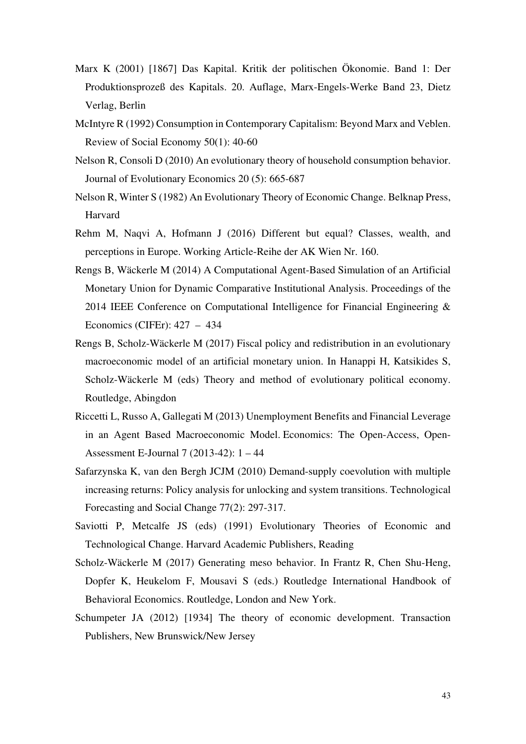- Marx K (2001) [1867] Das Kapital. Kritik der politischen Ökonomie. Band 1: Der Produktionsprozeß des Kapitals. 20. Auflage, Marx-Engels-Werke Band 23, Dietz Verlag, Berlin
- McIntyre R (1992) Consumption in Contemporary Capitalism: Beyond Marx and Veblen. Review of Social Economy 50(1): 40-60
- Nelson R, Consoli D (2010) An evolutionary theory of household consumption behavior. Journal of Evolutionary Economics 20 (5): 665-687
- Nelson R, Winter S (1982) An Evolutionary Theory of Economic Change. Belknap Press, Harvard
- Rehm M, Naqvi A, Hofmann J (2016) Different but equal? Classes, wealth, and perceptions in Europe. Working Article-Reihe der AK Wien Nr. 160.
- Rengs B, Wäckerle M (2014) A Computational Agent-Based Simulation of an Artificial Monetary Union for Dynamic Comparative Institutional Analysis. Proceedings of the 2014 IEEE Conference on Computational Intelligence for Financial Engineering & Economics (CIFEr): 427 – 434
- Rengs B, Scholz-Wäckerle M (2017) Fiscal policy and redistribution in an evolutionary macroeconomic model of an artificial monetary union. In Hanappi H, Katsikides S, Scholz-Wäckerle M (eds) Theory and method of evolutionary political economy. Routledge, Abingdon
- Riccetti L, Russo A, Gallegati M (2013) Unemployment Benefits and Financial Leverage in an Agent Based Macroeconomic Model. Economics: The Open-Access, Open-Assessment E-Journal 7 (2013-42): 1 – 44
- Safarzynska K, van den Bergh JCJM (2010) Demand-supply coevolution with multiple increasing returns: Policy analysis for unlocking and system transitions. Technological Forecasting and Social Change 77(2): 297-317.
- Saviotti P, Metcalfe JS (eds) (1991) Evolutionary Theories of Economic and Technological Change. Harvard Academic Publishers, Reading
- Scholz-Wäckerle M (2017) Generating meso behavior. In Frantz R, Chen Shu-Heng, Dopfer K, Heukelom F, Mousavi S (eds.) Routledge International Handbook of Behavioral Economics. Routledge, London and New York.
- Schumpeter JA (2012) [1934] The theory of economic development. Transaction Publishers, New Brunswick/New Jersey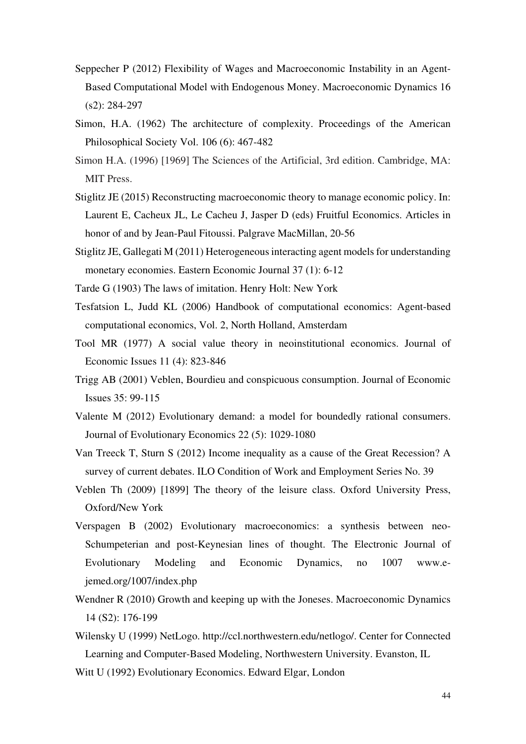- Seppecher P (2012) Flexibility of Wages and Macroeconomic Instability in an Agent-Based Computational Model with Endogenous Money. Macroeconomic Dynamics 16 (s2): 284-297
- Simon, H.A. (1962) The architecture of complexity. Proceedings of the American Philosophical Society Vol. 106 (6): 467-482
- Simon H.A. (1996) [1969] The Sciences of the Artificial, 3rd edition. Cambridge, MA: MIT Press.
- Stiglitz JE (2015) Reconstructing macroeconomic theory to manage economic policy. In: Laurent E, Cacheux JL, Le Cacheu J, Jasper D (eds) Fruitful Economics. Articles in honor of and by Jean-Paul Fitoussi. Palgrave MacMillan, 20-56
- Stiglitz JE, Gallegati M (2011) Heterogeneous interacting agent models for understanding monetary economies. Eastern Economic Journal 37 (1): 6-12
- Tarde G (1903) The laws of imitation. Henry Holt: New York
- Tesfatsion L, Judd KL (2006) Handbook of computational economics: Agent-based computational economics, Vol. 2, North Holland, Amsterdam
- Tool MR (1977) A social value theory in neoinstitutional economics. Journal of Economic Issues 11 (4): 823-846
- Trigg AB (2001) Veblen, Bourdieu and conspicuous consumption. Journal of Economic Issues 35: 99-115
- Valente M (2012) Evolutionary demand: a model for boundedly rational consumers. Journal of Evolutionary Economics 22 (5): 1029-1080
- Van Treeck T, Sturn S (2012) Income inequality as a cause of the Great Recession? A survey of current debates. ILO Condition of Work and Employment Series No. 39
- Veblen Th (2009) [1899] The theory of the leisure class. Oxford University Press, Oxford/New York
- Verspagen B (2002) Evolutionary macroeconomics: a synthesis between neo-Schumpeterian and post-Keynesian lines of thought. The Electronic Journal of Evolutionary Modeling and Economic Dynamics, no 1007 www.ejemed.org/1007/index.php
- Wendner R (2010) Growth and keeping up with the Joneses. Macroeconomic Dynamics 14 (S2): 176-199
- Wilensky U (1999) NetLogo. http://ccl.northwestern.edu/netlogo/. Center for Connected Learning and Computer-Based Modeling, Northwestern University. Evanston, IL
- Witt U (1992) Evolutionary Economics. Edward Elgar, London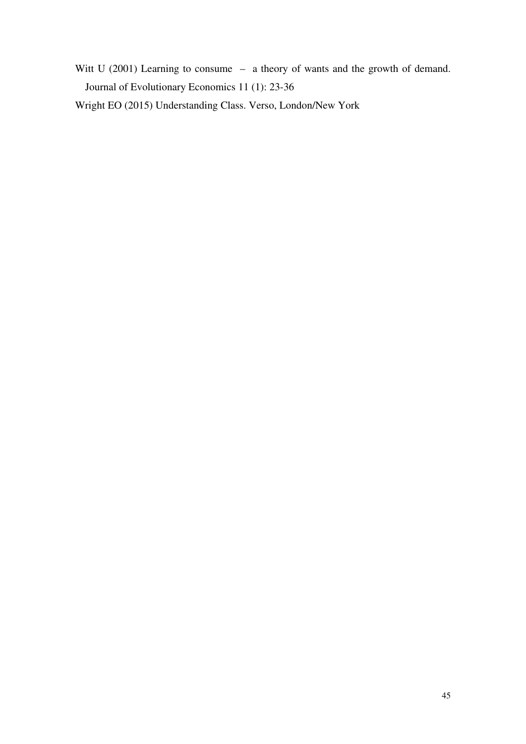Witt U (2001) Learning to consume – a theory of wants and the growth of demand. Journal of Evolutionary Economics 11 (1): 23-36

Wright EO (2015) Understanding Class. Verso, London/New York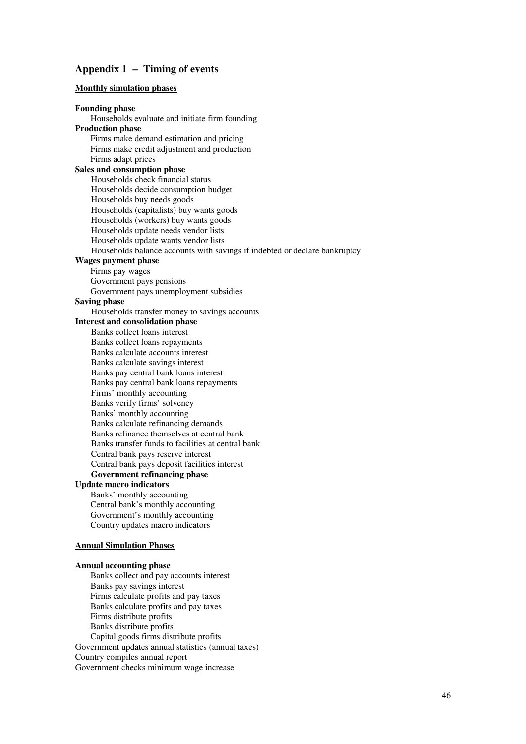#### **Appendix 1 – Timing of events**

#### **Monthly simulation phases**

**Founding phase** Households evaluate and initiate firm founding **Production phase** Firms make demand estimation and pricing Firms make credit adjustment and production Firms adapt prices **Sales and consumption phase** Households check financial status Households decide consumption budget Households buy needs goods Households (capitalists) buy wants goods Households (workers) buy wants goods Households update needs vendor lists Households update wants vendor lists Households balance accounts with savings if indebted or declare bankruptcy **Wages payment phase** Firms pay wages Government pays pensions Government pays unemployment subsidies **Saving phase** Households transfer money to savings accounts **Interest and consolidation phase** Banks collect loans interest Banks collect loans repayments Banks calculate accounts interest Banks calculate savings interest Banks pay central bank loans interest Banks pay central bank loans repayments Firms' monthly accounting Banks verify firms' solvency Banks' monthly accounting Banks calculate refinancing demands Banks refinance themselves at central bank Banks transfer funds to facilities at central bank Central bank pays reserve interest Central bank pays deposit facilities interest **Government refinancing phase Update macro indicators** Banks' monthly accounting Central bank's monthly accounting Government's monthly accounting Country updates macro indicators **Annual Simulation Phases Annual accounting phase** Banks collect and pay accounts interest Banks pay savings interest

Firms calculate profits and pay taxes Banks calculate profits and pay taxes Firms distribute profits Banks distribute profits Capital goods firms distribute profits Government updates annual statistics (annual taxes) Country compiles annual report Government checks minimum wage increase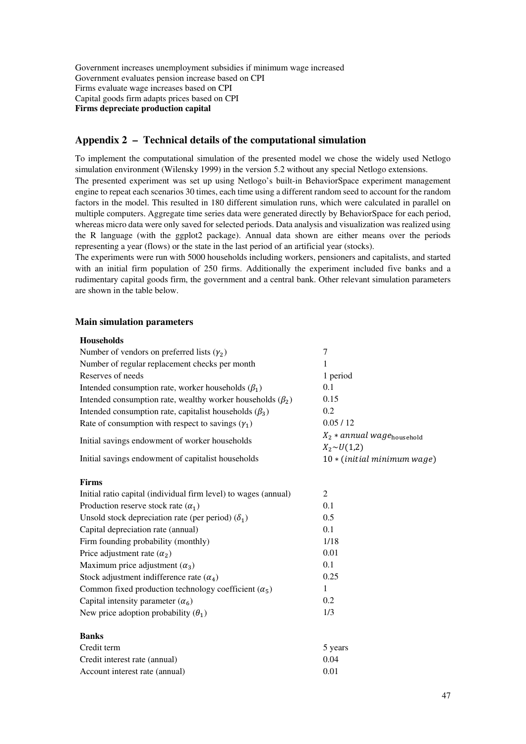Government increases unemployment subsidies if minimum wage increased Government evaluates pension increase based on CPI Firms evaluate wage increases based on CPI Capital goods firm adapts prices based on CPI **Firms depreciate production capital**

### **Appendix 2 – Technical details of the computational simulation**

To implement the computational simulation of the presented model we chose the widely used Netlogo simulation environment (Wilensky 1999) in the version 5.2 without any special Netlogo extensions. The presented experiment was set up using Netlogo's built-in BehaviorSpace experiment management engine to repeat each scenarios 30 times, each time using a different random seed to account for the random factors in the model. This resulted in 180 different simulation runs, which were calculated in parallel on multiple computers. Aggregate time series data were generated directly by BehaviorSpace for each period, whereas micro data were only saved for selected periods. Data analysis and visualization was realized using the R language (with the ggplot2 package). Annual data shown are either means over the periods representing a year (flows) or the state in the last period of an artificial year (stocks).

The experiments were run with 5000 households including workers, pensioners and capitalists, and started with an initial firm population of 250 firms. Additionally the experiment included five banks and a rudimentary capital goods firm, the government and a central bank. Other relevant simulation parameters are shown in the table below.

#### **Main simulation parameters**

#### **Households**

| Number of vendors on preferred lists $(\gamma_2)$                | 7                                                 |
|------------------------------------------------------------------|---------------------------------------------------|
| Number of regular replacement checks per month                   | 1                                                 |
| Reserves of needs                                                | 1 period                                          |
| Intended consumption rate, worker households $(\beta_1)$         | 0.1                                               |
| Intended consumption rate, wealthy worker households $(\beta_2)$ | 0.15                                              |
| Intended consumption rate, capitalist households $(\beta_3)$     | 0.2                                               |
| Rate of consumption with respect to savings $(\gamma_1)$         | 0.05/12                                           |
| Initial savings endowment of worker households                   | $X_2$ * annual wagehousehold<br>$X_2 \sim U(1,2)$ |
| Initial savings endowment of capitalist households               | 10 * (initial minimum wage)                       |
| <b>Firms</b>                                                     |                                                   |
| Initial ratio capital (individual firm level) to wages (annual)  | $\overline{2}$                                    |
| Production reserve stock rate $(\alpha_1)$                       | 0.1                                               |
| Unsold stock depreciation rate (per period) $(\delta_1)$         | 0.5                                               |
| Capital depreciation rate (annual)                               | 0.1                                               |
| Firm founding probability (monthly)                              | 1/18                                              |
| Price adjustment rate $(\alpha_2)$                               | 0.01                                              |
| Maximum price adjustment $(\alpha_3)$                            | 0.1                                               |
| Stock adjustment indifference rate $(\alpha_4)$                  | 0.25                                              |
| Common fixed production technology coefficient $(\alpha_5)$      | 1                                                 |
| Capital intensity parameter $(\alpha_6)$                         | 0.2                                               |
| New price adoption probability $(\theta_1)$                      | 1/3                                               |
| <b>Banks</b>                                                     |                                                   |
| Credit term                                                      | 5 years                                           |
| Credit interest rate (annual)                                    | 0.04                                              |
| Account interest rate (annual)                                   | 0.01                                              |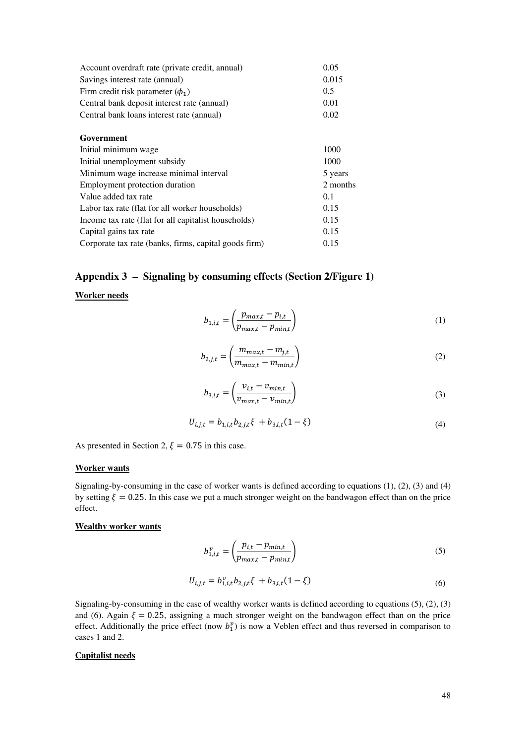| 0.015<br>0.01<br>0.02 |
|-----------------------|
|                       |
|                       |
|                       |
|                       |
|                       |
| 1000                  |
| 1000                  |
| 5 years               |
| 2 months              |
|                       |
| 0.15                  |
| 0.15                  |
| 0.15                  |
| 0.15                  |
| 0.1                   |

# **Appendix 3 – Signaling by consuming effects (Section 2/Figure 1)**

#### **Worker needs**

$$
b_{1,i,t} = \left(\frac{p_{max,t} - p_{i,t}}{p_{max,t} - p_{min,t}}\right)
$$
 (1)

$$
b_{2,j,t} = \left(\frac{m_{max,t} - m_{j,t}}{m_{max,t} - m_{min,t}}\right)
$$
 (2)

$$
b_{3,i,t} = \left(\frac{v_{i,t} - v_{min,t}}{v_{max,t} - v_{min,t}}\right)
$$
\n(3)

$$
U_{i,j,t} = b_{1,i,t} b_{2,j,t} \xi + b_{3,i,t} (1 - \xi)
$$
\n<sup>(4)</sup>

As presented in Section 2,  $\xi = 0.75$  in this case.

#### **Worker wants**

Signaling-by-consuming in the case of worker wants is defined according to equations (1), (2), (3) and (4) by setting  $\xi = 0.25$ . In this case we put a much stronger weight on the bandwagon effect than on the price effect.

#### **Wealthy worker wants**

$$
b_{1,i,t}^v = \left(\frac{p_{i,t} - p_{min,t}}{p_{max,t} - p_{min,t}}\right)
$$
\n<sup>(5)</sup>

$$
U_{i,j,t} = b_{1,i,t}^{\nu} b_{2,j,t} \xi + b_{3,i,t} (1 - \xi)
$$
\n(6)

Signaling-by-consuming in the case of wealthy worker wants is defined according to equations (5), (2), (3) and (6). Again  $\xi = 0.25$ , assigning a much stronger weight on the bandwagon effect than on the price effect. Additionally the price effect (now  $b_1^{\nu}$ ) is now a Veblen effect and thus reversed in comparison to cases 1 and 2.

### **Capitalist needs**